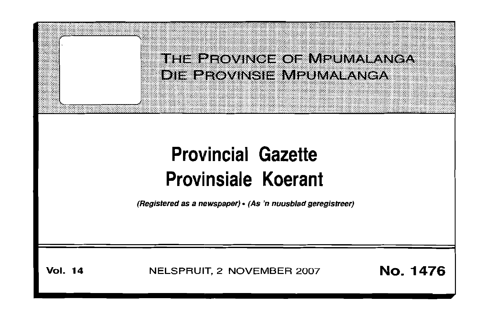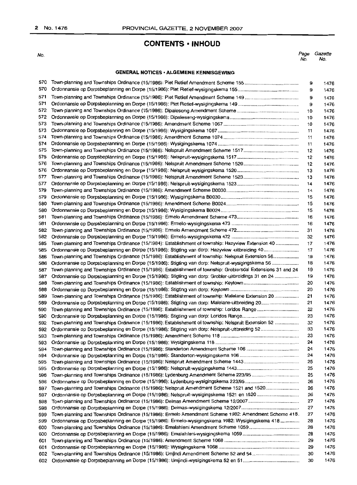### **CONTENTS· INHOUD**

No.

| Page | Gazette |
|------|---------|
| No.  | No.     |

#### **GENERAL NOTICES· ALGEMENE KENNISGEWING**

| 570 |                                                                                                              | 9  | 1476 |
|-----|--------------------------------------------------------------------------------------------------------------|----|------|
| 570 |                                                                                                              | 9  | 1476 |
| 571 |                                                                                                              |    |      |
| 571 |                                                                                                              | 9  | 1476 |
| 572 |                                                                                                              | 9  | 1476 |
|     |                                                                                                              | 10 | 1476 |
| 572 |                                                                                                              | 10 | 1476 |
| 573 |                                                                                                              | 10 | 1476 |
| 573 |                                                                                                              | 11 | 1476 |
| 574 |                                                                                                              | 11 | 1476 |
| 574 |                                                                                                              | 11 | 1476 |
| 575 |                                                                                                              | 12 | 1476 |
| 575 |                                                                                                              | 12 | 1476 |
| 576 |                                                                                                              | 12 | 1476 |
| 576 |                                                                                                              | 13 | 1476 |
| 577 |                                                                                                              | 13 | 1476 |
| 577 |                                                                                                              | 14 | 1476 |
| 579 |                                                                                                              | 14 | 1476 |
| 579 |                                                                                                              | 15 | 1476 |
| 580 |                                                                                                              | 15 | 1476 |
| 580 |                                                                                                              |    |      |
|     |                                                                                                              | 15 | 1476 |
| 581 |                                                                                                              | 16 | 1476 |
| 581 |                                                                                                              | 16 | 1476 |
| 582 |                                                                                                              | 31 | 1476 |
| 582 |                                                                                                              | 32 | 1476 |
| 585 | Town-planning and Townships Ordinance (15/1984): Establishment of township: Hazyview Extension 40            | 17 | 1476 |
| 585 | Ordonnansie op Dorpsbeplanning en Dorpe (15/1986): Stigting van dorp: Hazyview -uitbreiding 40               | 17 | 1476 |
| 586 | Town-planning and Townships Ordinance (15/1986): Establishment of township: Nelspruit Extension 56           | 18 | 1476 |
| 586 | Ordonnansie op Dorpsbeplanning en Dorpe (15/1986): Stigting van dorp: Nelspruit-wysigingskema 56             | 18 | 1476 |
| 587 | Town-planning and Townships Ordinance (15/1986): Establishment of township: Groblersdal Extensions 31 and 24 | 19 | 1476 |
| 587 | Ordonnansie op Dorpsbeplanning en Dorpe (15/1986): Stigting van dorp: Grobler-uitbreidings 31 en 24          | 19 | 1476 |
| 588 |                                                                                                              | 20 | 1476 |
| 588 |                                                                                                              | 20 | 1476 |
| 589 | Town-planning and Townships Ordinance (15/1986): Establishment of township: Malelane Extension 20            | 21 | 1476 |
| 589 |                                                                                                              | 21 | 1476 |
| 590 |                                                                                                              | 22 | 1476 |
| 590 |                                                                                                              | 23 | 1476 |
| 592 | Town-planning and Townships Ordinance (15/1986): Establishment of township: Nelspruit Extension 52           | 32 | 1476 |
| 592 |                                                                                                              | 33 | 1476 |
| 593 |                                                                                                              | 23 | 1476 |
|     |                                                                                                              | 24 |      |
| 593 | Town-planning and Townships Ordinance (15/1986): Standerton Amendment Scheme 106                             | 24 | 1476 |
| 594 |                                                                                                              |    | 1476 |
| 594 |                                                                                                              | 24 | 1476 |
| 595 |                                                                                                              | 25 | 1476 |
| 595 |                                                                                                              | 25 | 1476 |
| 596 | Town-planning and Townships Ordinance (15/1986): Lydenburg Amendment Scheme 223/95                           | 25 | 1476 |
| 596 |                                                                                                              | 26 | 1476 |
| 597 | Town-planning and Townships Ordinance (15/1986): Nelspruit Amendment Scheme 1521 and 1520                    | 26 | 1476 |
| 597 |                                                                                                              | 26 | 1476 |
| 598 |                                                                                                              | 27 | 1476 |
| 598 |                                                                                                              | 27 | 1476 |
| 599 | Town-planning and Townships Ordinance (15/1986): Ermelo Amendment Scheme 1982: Amendment Scheme 418.         | 27 | 1476 |
| 599 | Ordonnansie op Dorpsbeplanning en Dorpe (15/1986): Ermelo-wysigingskema 1982: Wysigingskema 418              | 28 | 1476 |
| 600 | Town-planning and Townships Ordinance (15/1986): Emalahleni Amendment Scheme 1059                            | 28 | 1476 |
| 600 |                                                                                                              | 28 | 1476 |
| 601 |                                                                                                              | 29 | 1476 |
| 601 |                                                                                                              | 29 | 1476 |
| 602 |                                                                                                              | 30 | 1476 |
| 602 |                                                                                                              | 30 | 1476 |
|     |                                                                                                              |    |      |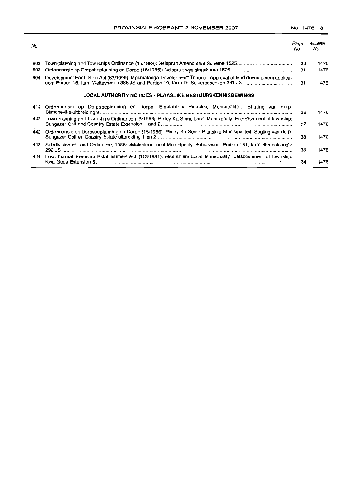| No. |                                                                                                                  | Page<br>No. | Gazette<br>No. |
|-----|------------------------------------------------------------------------------------------------------------------|-------------|----------------|
| 603 |                                                                                                                  | 30          | 1476           |
| 603 |                                                                                                                  | 31          | 1476           |
| 604 | Development Facilitation Act (67/1995): Mpumalanga Development Tribunal: Approval of land development applica-   | 31          | 1476           |
|     | LOCAL AUTHORITY NOTICES • PLAASLIKE BESTUURSKENNISGEWINGS                                                        |             |                |
| 414 | Ordonnansie op Dorpsbeplanning en Dorpe: Emalahleni Plaaslike Munisipaliteit: Stigting van dorp:                 | 36          | 1476           |
| 442 | Town-planning and Townships Ordinance (15/1986): Pixley Ka Seme Local Municipality: Establishment of township:   | 37          | 1476           |
| 442 | Ordonnansie op Dorpsbeplanning en Dorpe (15/1986): Pixley Ka Seme Plaaslike Munisipaliteit: Stigting van dorp:   | 38          | 1476           |
| 443 | Subdivision of Land Ordinance, 1986: eMalahleni Local Municipality: Subidivison: Portion 151, farm Blesboklaagte | 38          | 1476           |
| 444 | Less Formal Township Establishment Act (113/1991): eMalahleni Local Municipality: Establishment of township:     | 34          | 1476           |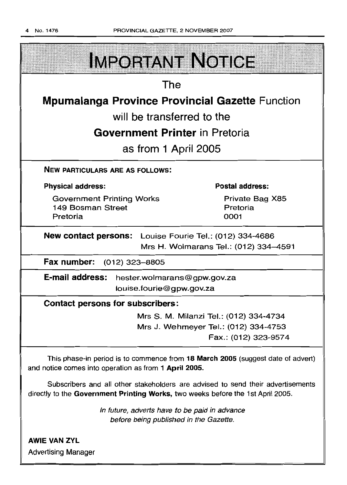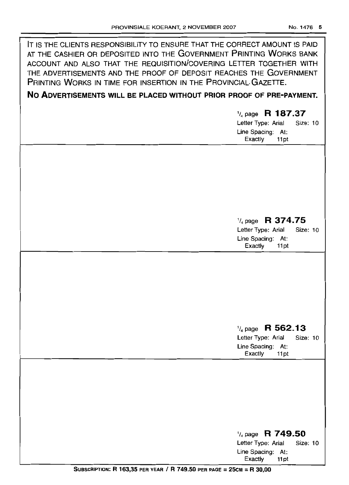| IT IS THE CLIENTS RESPONSIBILITY TO ENSURE THAT THE CORRECT AMOUNT IS PAID<br>AT THE CASHIER OR DEPOSITED INTO THE GOVERNMENT PRINTING WORKS BANK<br>ACCOUNT AND ALSO THAT THE REQUISITION/COVERING LETTER TOGETHER WITH<br>THE ADVERTISEMENTS AND THE PROOF OF DEPOSIT REACHES THE GOVERNMENT<br>PRINTING WORKS IN TIME FOR INSERTION IN THE PROVINCIAL GAZETTE. |                                                                                                       |
|-------------------------------------------------------------------------------------------------------------------------------------------------------------------------------------------------------------------------------------------------------------------------------------------------------------------------------------------------------------------|-------------------------------------------------------------------------------------------------------|
| NO ADVERTISEMENTS WILL BE PLACED WITHOUT PRIOR PROOF OF PRE-PAYMENT.                                                                                                                                                                                                                                                                                              |                                                                                                       |
|                                                                                                                                                                                                                                                                                                                                                                   | $\frac{1}{4}$ page R 187.37<br>Letter Type: Arial<br>Size: 10<br>Line Spacing: At:<br>Exactly<br>11pt |
|                                                                                                                                                                                                                                                                                                                                                                   |                                                                                                       |
|                                                                                                                                                                                                                                                                                                                                                                   | $\frac{1}{4}$ page R 374.75<br>Letter Type: Arial<br>Size: 10<br>Line Spacing: At:<br>Exactly<br>11pt |
|                                                                                                                                                                                                                                                                                                                                                                   |                                                                                                       |
|                                                                                                                                                                                                                                                                                                                                                                   | $\frac{1}{4}$ page R 562.13<br>Letter Type: Arial<br>Size: 10<br>Line Spacing: At:<br>Exactly<br>11pt |
|                                                                                                                                                                                                                                                                                                                                                                   |                                                                                                       |
|                                                                                                                                                                                                                                                                                                                                                                   | $\frac{1}{4}$ page R 749.50<br>Letter Type: Arial<br>Size: 10<br>Line Spacing: At:<br>Exactly<br>11pt |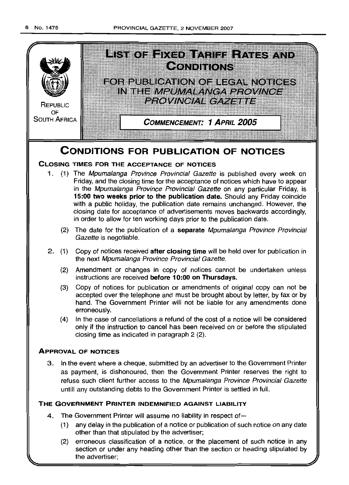

(2) erroneous classification of a notice, or the placement of such notice in any section or under any heading other than the section or heading stipulated by the advertiser;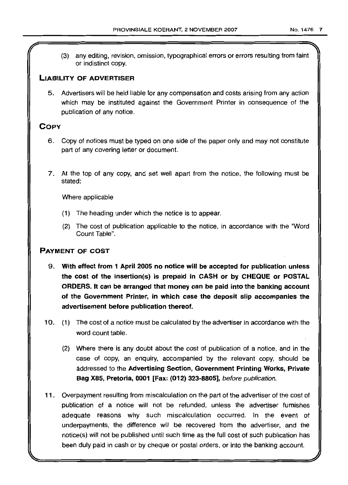(3) any editing, revision, omission, typographical errors or errors resulting from faint or indistinct copy.

### LIABILITY OF ADVERTISER

5. Advertisers will be held liable for any compensation and costs arising from any action which may be instituted against the Government Printer in consequence of the publication of any notice.

### COpy

- 6. Copy of notices must be typed on one side of the paper only and may not constitute part of any covering letter or document
- 7. At the top of any copy, and set well apart from the notice, the following must be stated:

Where applicable

- (1) The heading under which the notice is to appear.
- (2) The cost of publication applicable to the notice, in accordance with the "Word Count Table".

### PAYMENT OF COST

- 9. With effect from 1 April 2005 no notice will be accepted for publication unless the cost of the insertion(s) is prepaid in CASH or by CHEQUE or POSTAL ORDERS. It can be arranged that money can be paid into the banking account of the Government Printer, in which case the deposit slip accompanies the advertisement before publication thereof.
- 10. (1) The cost of a notice must be calculated by the advertiser in accordance with the word count table.
	- (2) Where there is any doubt about the cost of publication of a notice, and in the case of copy, an enquiry, accompanied by the relevant copy, should be addressed to the Advertising Section, Government Printing Works, Private Bag X85, Pretoria, 0001 [Fax: (012) 323-8805], before publication.
- 11. Overpayment resulting from miscalculation on the part of the advertiser of the cost of publication of a notice will not be refunded, unless the advertiser furnishes adequate reasons why such miscalculation occurred. In the event of underpayments, the difference will be recovered from the advertiser, and the notice(s) will not be published until such time as the full cost of such publication has been duly paid in cash or by cheque or postal orders, or into the banking account.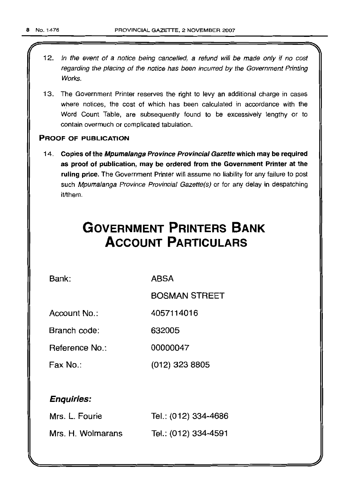- 12. In the event of a notice being cancelled, a refund will be made only if no cost regarding the placing of the notice has been incurred by the Government Printing Works.
- 13. The Government Printer reserves the right to levy an additional charge in cases where notices, the cost of which has been calculated in accordance with the Word Count Table, are subsequently found to be excessively lengthy or to contain overmuch or complicated tabulation.

### PROOF OF PUBLICATION

14. Copies of the Mpumalanga Province Provincial Gazette which may be required as proof of publication, may be ordered from the Government Printer at the ruling price. The Government Printer will assume no liability for any failure to post such Mpumalanga Province Provincial Gazette(s) or for any delay in despatching it/them.

# **GOVERNMENT PRINTERS BANK ACCOUNT PARTICULARS**

Bank: ABSA

BOSMAN STREET

Account No.: 4057114016

Branch code: 632005

Reference No.: 00000047

Fax No.: (012) 323 8805

### Enquiries:

| Mrs. L. Fourie    | Tel.: (012) 334-4686 |
|-------------------|----------------------|
| Mrs. H. Wolmarans | Tel.: (012) 334-4591 |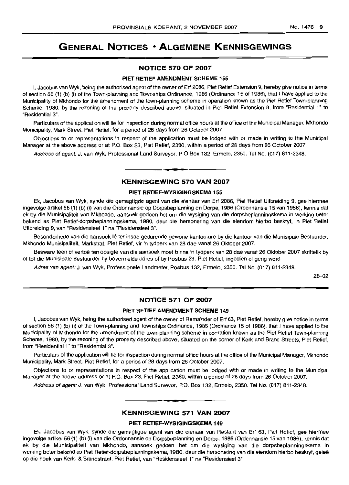### **GENERAL NOTICES • ALGEMENE KENNISGEWINGS**

#### **NOTICE 570 OF 2007**

#### **PIET RETIEF AMENDMENT SCHEME** 155

I, Jacobus van Wyk, being the authorised agent of the owner of Erf 2086, Piet Retief Extension 9, hereby give notice in terms of section 56 (1) (b) (i) of the Town-planning and Townships Ordinance, 1986 (Ordinance 15 of 1986), that I have applied to the Municipality of Mkhondo tor the amendment of the town-planning scheme in operation known as the Piet Retief Town-planning Scheme, 1980, by the rezoning of the property described above, situated in Piet Retief Extension 9, from "Residential 1" to "Residential 3".

Particulars of the application will lie for inspection during normal office hours at the office of the Municipal Manager, Mkhondo Municipality, Mark Street, Piet Retief, for a period of 28 days from 26 October 2007.

Objections to or representations in respect of the application must be lodged with or made in writing to the Municipal Manager at the above address or at P.O. Box 23, Piet Retief, 2380, within a period of 28 days from 26 October 2007.

Address of agent: J. van Wyk, Professional Land Surveyor, P O Box 132, Ermelo, 2350. Tel No. (017) 811-2348.

#### **KENNISGEWING 570 VAN 2007**

**•**

#### **PIET RETIEF-WYSIGINGSKEMA** 155

Ek, Jacobus van Wyk, synde die gemagtigde agent van die eienaar van Erf 2086, Piet Retief Uitbreiding 9, gee hiermee ingevolge artikel 56 (1) (b) (i) van die Ordonnansie op Dorpsbeplanning en Dorpe, 1986 (Ordonnansie 15 van 1986), kennis dat ek by die Munisipaliteit van Mkhondo, aansoek gedoen het om die wysiging van die dorpsbeplanningskema in werking beter bekend as Piet Retief-dorpsbeplanningskema, 1980, deur die hersonering van die eiendom hierbo beskryf, in Piet Retief Uitbreiding 9, van "Residensieel 1" na "Residensieel 3".

Besonderhede van die aansoek Ie ter insae gedurende gewone kantoorure by die kantoor van die Munisipale Bestuurder, Mkhondo Munisipaliteit, Markstrat, Piet Retief, vir 'n tydperk van 28 dae vanaf 26 Oktober 2007.

Besware teen of vertoë ten opsigte van die aansoek moet binne 'n tydperk van 28 dae vanaf 26 Oktober 2007 skriftelik by of tot die Munisipale Bestuurder by bovermelde adres of by Posbus 23, Piet Retief, ingedien of gerig word.

Adres van agent: J. van Wyk, Professionele Landmeter, Posbus 132, Ermelo, 2350. Tel No. (017) 811-2348.

2&-D2

#### **NOTICE 571 OF 2007**

#### **PIET RETIEF AMENDMENT SCHEME 149**

I, Jacobus van Wyk, being the authorised agent of the owner of Remainder of Erf 63, Piet Retief, hereby give notice in terms of section 56 (1) (b) (i) of the Town-planning and Townships Ordinance, 1986 (Ordinance 15 of 1986), that I have applied to the Municipality of Mkhondo for the amendment of the lown-planning scheme in operation known as the Piet Retief Town-planning Scheme, 1980, by the rezoning of the property described above, situated on the corner of Kerk and Brand Streets, Piet Retief, from "Residential 1" to "Residential 3".

Particulars of the application will lie for inspection during normal office hours at the office of the Municipal Manager, Mkhondo Municipality, Mark Street, Piet Retief, for a period of 28 days from 26 October 2007.

Objections to or representations in respect of the application must be lodged with or made in writing to the Municipal Manager at the above address or at P.O. Box 23, Piet Retief, 2380, within a period of 28 days from 26 October 2007.

Address of agent: J. van Wyk, Professional Land Surveyor, P.O. Box 132, Ermelo, 2350. Tel No. (017) 811-2348.

### **• KENNISGEWING 571 VAN 2007**

#### **PIET RETIEF-WYSIGINGSKEMA 149**

Ek, Jacobus van Wyk, synde die gemagtigde agent van die eienaar van Reslant van Erf 63, Piet Retief, gee hiermee ingevolge artikel 56 (1) (b) (i) van die Ordonnansie op Dorpsbeplanning en Dorpe, 1986 (Ordonnansie 15 van 1986), kennis dat ek by die Munisipaliteit van Mkhondo, aansoek gedoen het om die wysiging van die dorpsbeplanningskema in werking beter bekend as Piet Retief-dorpsbeplanningskema, 1980, deur die hersonering van die eiendom hierbo beskryf, gelee op die hoek van Kerk- &Brandstraat, Piet Retief, van "Residensieel 1" na "Residensieel 3".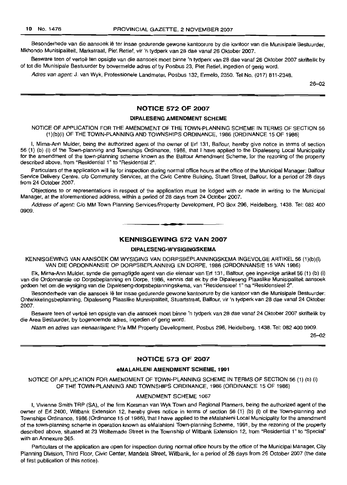Besonderhede van die aansoek Ie ter insae gedurende gewone kantoorure by die kantoor van die Munisipale Bestuurder, Mkhondo Munisipaliteit, Markstraat, Piet Retief, vir 'n tydperk van 28 dae vanaf 26 Oktober 2007.

Besware teen of vertoe ten opsigte van die aansoek moet binne 'n tydperk van 28 dae vanaf 26 Oktober 2007 skriftelik by of tot die Munisipale Bestuurder by bovermelde adres of by Posbus 23, Piet Retief, ingedien of gerig word.

Adres van agent: J. van Wyk, Professionele Landmeter, Posbus 132, Ermelo, 2350. Tel No, (017) 811-2348.

26-02

#### **NOTICE** 572 **OF** 2007

#### DIPALESENG AMENDMENT SCHEME

NOTICE OF APPLICATION FOR THE AMENDMENT OF THE TOWN-PLANNING SCHEME IN TERMS OF SECTION 56 (1)(b)(i) OF THE TOWN-PLANNING AND TOWNSHIPS ORDINANCE, 1986 (ORDINANCE 15 OF 1986)

I, Mirna-Ann Mulder, being the authorized agent of the owner of Ert 131, Balfour, hereby give notice in terms of section 56 (1) (b) (i) of the Town-planning and Townships Ordinance, 1986, thai I have applied to the Dipaleseng Local Municipality for the amendment of the town-planning scheme known as the Balfour Amendment Scheme, for the rezoning of the property described above, from "Residential 1" to "Residential 2".

Particulars of the application will lie for inspection during normal office hours at the office of the Municipal Manager: Balfour Service Delivery Centre, c/o Community Services, at the Civic Centre Building, Stuart Street, Balfour, for a period of 28 days from 24 October 2007.

Objections to or representations in respect of the application must be lodged with or made in writing to the Municipal Manager, at the aforementioned address, within a period of 28 days from 24 October 2007.

Address of agent: C/o MM Town Planning Services/Property Development, PO Box 296, Heidelberg, 1438. Tel: 082 400 0909.

### **• •**

#### **KENNISGEWING** 572 **VAN** 2007

#### DIPALESENG-WYSIGINGSKEMA

KENNISGEWING VAN AANSOEK OM WYSIGING VAN DORPSBEPLANNINGSKEMA INGEVOLGE ARTIKEL 56 (1)(b)(i) VAN DIE ORDONNANSIE OP DORPSBEPLANNING EN DORPE, 1986 (ORDONNANSIE 15 VAN 1986)

Ek, Mirna-Ann Mulder, synde die gemagtigde agent van die eienaar van Erf 131, Balfour, gee ingevolge artikel 56 (1) (b) (i) van die Ordonnansie op Dorpsbeplanning en Dorpe, 1986, kennis dat ek by die Dipaleseng Plaaslike Munisipaliteit aansoek gedoen het om die wysiging van die Dipaleseng-dorpsbeplanningskema, van "Residensieel I" na "ResidensieeI2".

Besonderhede van die aansoek lê ter insae gedurende gewone kantoorure by die kantoor van die Munisipale Bestuurder: Ontwikkelingsbeplanning, Dipaleseng Plaaslike Munisipaliteit, Stuartstraat, Balfour, vir 'n tydperk van 28 dae vanaf 24 Oktober 2007. .

Besware teen of vertoë ten opsigte van die aansoek moet binne 'n tydperk van 28 dae vanaf 24 Oktober 2007 skriftelik by die Area Bestuurder, by bogenoemde adres, ingedien of gerig word.

Naam en adres van eienaar/agent: P/a MM Property Development, Posbus 296, Heidelberg, 1438. Tel: 082 400 0909.

 $26 - 02$ 

#### **NOTICE** 573 **OF** 2007

#### eMALAHLENI AMENDMENT SCHEME, 1991

NOTICE OF APPLICATION FOR AMENDMENT OF TOWN-PLANNING SCHEME IN TERMS OF SECTION 56 (1) (b) (i) OF THE TOWN-PLANNING AND TOWNSHIPS ORDINANCE, 1986 (ORDINANCE 15 OF 1986)

#### AMENDMENT SCHEME 1067

I, Vivienne Smith TRP (SA), of the firm Korsman van Wyk Town and Regional Planners, being the authorized agent of the owner of Erf 2400, Witbank Extension 12, hereby gives notice in terms of section 56 (1) (b) (i) of the Town-planning and Townships Ordinance, 1986 (Ordinance 15 of 1986), that I have applied to the eMalahleni Local Municipality for the amendment of the town-planning scheme in operation known as eMalahleni Town-planning Scheme, 1991, by the rezoning of the property described above, situated at 23 Woltemade Street in the Township of Witbank Extension 12, from "Residential 1" to "Special" with an Annexure 365.

Particulars of the application are open for inspection during normal office hours by the office of the Municipal Manager, City Planning Division, Third Floor, Civic Center, Mandela Street, Witbank, for a period of 28 days from 26 October 2007 (the date of first publication of this notice).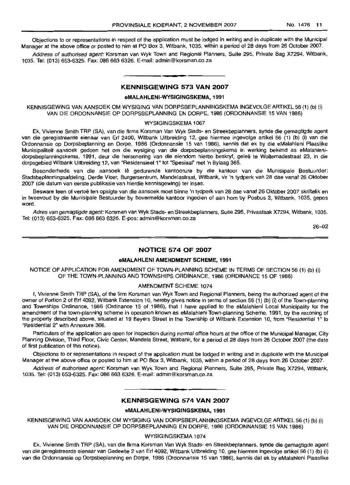Objections to or representations in respect of the application must be lodged in writing and in duplicate with the Municipal Manager at the above office or posted to him at PO Box 3, Witbank, 1035, within a period of 28 days from 26 October 2007.

Address of authorised agent: Korsman van Wyk Town and Regional Planners, Suite 295, Private Bag X7294, Witbank, 1035. Tel: (013) 653-6325. Fax: 086 663 6326. E-mail: admin@korsman.co.za

### **• KENNISGEWING 573 VAN 2007**

#### **eMALAHLENI-WYSIGINGSKEMA, 1991**

KENNISGEWING VAN AANSOEK OM WYSIGING VAN DORPSBEPLANNINGSKEMA INGEVOLGE ARTIKEL 56 (1) (b) (I) VAN DIE ORDONNANSIE OP DORPSBEPLANNING EN DORPE, 1986 (ORDONNANSIE 15 VAN 1986)

#### WYSIGINGSKEMA 1067

Ek, Vivienne Smilh TRP (SA), van die firma Korsman Van Wyk Stads- en Streekbeplanners, synde die gemagligde agenl van die geregislreerde eienaar van Erf 2400, Witbank Uitbreiding 12, gee hiermee ingevolge artikel 56 (1) (b) (i) van die Ordonnansie op Dorpsbeplanning en Dorpe, 1986 (Ordonnansie 15 van 1986), kennis dat ek by die eMalahleni Plaaslike Munisipaliteit aansoek gedoen het om die wysiging van die dorpsbeplanningskema in werking bekend as eMalahlenidorpsbeplanningskema, 1991, deur die hersonering van die eiendom hierbo beskryf, gelee te Wollemadestraat 23, in die dorpsgebied Wilbank Uitbreiding 12, van "ResidensieeI1" tot "Spesiaal" met 'n Bylaag 365.

Besonderhede van die aansoek Iê gedurende kantoorure by die kantoor van die Munisipale Bestuurder: Stadsbeplanningsafdeling, Derde Vloer, Burgersentrum, Mandelastraat, Witbank, vir 'n tydperk van 28 dae vanaf 26 Oktober 2007 (die datum van eerste publikasie van hierdie kennisgewing) ter insae.

Besware teen of vertoë ten opsigte van die aansoek moet binne 'n tydperk van 28 dae vanaf 26 Oktober 2007 skriftelik en in Iweevoud by die Munisipale Bestuurder by bovermelde kanloor ingedien of aan hom by Posbus 3, Witbank, 1035, gepos word.

Adres van gemagtigde agent: Korsman van Wyk Stads- en Streekbeplanners, Suite 295, Privaatsak X7294, Wilbank, 1035. Tel: (013) 653-6325. Fax: 086 663 6326. E-pos: admin@korsman.co.za

26-02

#### **NOTICE 574 OF 2007**

#### **eMALAHLENI AMENDMENT SCHEME, 1991**

NOTICE OF APPLICATION FOR AMENDMENT OF TOWN-PLANNING SCHEME IN TERMS OF SECTION 56 (1) (b) (i) OF THE TOWN-PLANNING AND TOWNSHIPS ORDINANCE, 1986 (ORDINANCE 15 OF 1986)

#### AMENDMENT SCHEME 1074

I, Vivienne Smith TRP (SA), of the firm Korsman van Wyk Town and Regional Planners, being the authorized agent of the owner of Portion 2 of Erf 4092, Witbank Extension 10, hereby gives notice in terms of section 56 (1) (b) (i) of the Town-planning and Townships Ordinance, 1986 (Ordinance 15 of 1986), that I have applied to the eMalahleni Local Municipality for the amendment of the town-planning scheme in operation known as eMalahleni Town-planning Scheme, 1991, by the rezoning of the property described above, situated at 19 Beyers Street in the Township of Witbank Extension 10, from "Residential 1" to "Residential 2" with Annexure 366.

Particulars of the application are open for inspection during normal office hours at the office of the Municipal Manager, City Planning Division, Third Floor, Civic Center, Mandela Street, Witbank, for a period of 28 days from 26 October 2007 (the date of first publication of this notice).

Objections to or representations in respect of the application must be lodged in writing and in duplicate with the Municipal Manager at the above office or posted to him at PO Box 3, Witbank, 1035, within a period of 28 days from 26 October 2007.

Address of authorised agent: Korsman van Wyk Town and Regional Planners, Suite 295, Private Bag X7294, Witbank, 1035. Tel: (013) 653-6325. Fax: 086 663 6326. E-mail: admin@korsman.co.za

### **• KENNISGEWING 574 VAN 2007**

#### **eMALAHLENI-WYSIGINGSKEMA, 1991**

KENNISGEWING VAN AANSOEK OM WYSIGING VAN DORPSBEPLANNINGSKEMA INGEVOLGE ARTIKEL 56 (1) (b) (i) VAN DIE ORDONNANSIE OP DORPSBEPLANNING EN DORPE, 1986 (ORDONNANSIE 15 VAN 1986)

#### WYSIGINGSKEMA 1074

Ek, Vivienne Smith TRP (SA), van die firma Korsman Van Wyk Stads- en Streekbeplanners, synde die gemagtigde agent van die geregistreerde eienaar van Gedeelte 2 van Erf 4092, Witbank Uitbreiding 10, gee hiermee ingevolge artikel 56 (1) (b) (i) van die Ordonnansie op Dorpsbeplanning en Dorpe, 1986 (Ordonnansie 15 van 1986), kennis dat ek by eMalahleni Plaaslike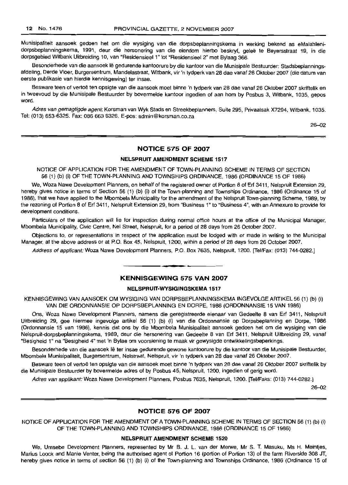Munisipaliteit aansoek gedoen het om die wysiging van die dorpsbeplanningskema in werking bekend as eMalahlenidorpsbeplanningskema, 1991, deur die hersonering van die eiendom hierbo beskryf, gelee te Beyersstraat 19, in die dorpsgebied Witbank Uitbreiding 10, van "Residensieel 1" tot "Residensieel 2" met Bylaag 366.

Besonderhede van die aansoek lê gedurende kantoorure by die kantoor van die Munisipale Bestuurder: Stadsbeplanningsafdeling, Derde Vloer, Burgersentrum, Mandelastraat, Witbank, vir 'n tydperk van 28 dae vanaf 26 Oktober 2007 (die datum van eerste publikasie van hierdie kennisgewing) ter insae.

Besware teen of vertoë ten opsigte van die aansoek moet binne 'n tydperk van 28 dae vanaf 26 Oktober 2007 skriftelik en in tweevoud by die Munisipale Bestuurder by bovermelde kantoor ingedien of aan hom by Posbus 3, Witbank, 1035, gepos word.

Adres van gemagtigde agent: Korsman van Wyk Stads en Streekbeplanners, Suite 295, Privaatsak X7294, Witbank, 1035. Tel: (013) 653-6325. Fax: 086 663 6326. E-pos: admin@korsman.co.za

26-02

#### NOTICE 575 OF 2007

#### NELSPRUIT AMENDMENT SCHEME 1517

NOTICE OF APPLICATION FOR THE AMENDMENT OF TOWN-PLANNING SCHEME IN TERMS OF SECTION 56 (1) (b) (i) OF THE TOWN-PLANNING AND TOWNSHIPS ORDINANCE, 1986 (ORDINANCE 15 OF 1986)

We, Woza Nawe Development Planners, on behalf of the registered owner of Portion 8 of Erf 3411, Nelspruit Extension 29, hereby gives notice in terms of Section 56 (1) (b) (i) of the Town-planning and Townships Ordinance, 1986 (Ordinance 15 of 1986), that we have applied to the Mbombela Municipality for the amendment of the Nelspruit Town-planning Scheme, 1989, by the rezoning of Portion 8 of Erf 3411, Nelspruit Extension 29, from "Business 1" to "Business 4", with an Annexure to provide for development conditions.

Particulars of the application will lie for inspection during normal office hours at the office of the Municipal Manager, Mbombela Municipality, Civic Centre, Nel Street, Nelspruit, for a period of 28 days from 26 October 2007.

Objections to, or representations in respect of the application must be lodged with or made in writing to the Municipal Manager, at the above address or at P.O. Box 45, Nelspruit, 1200, within a period of 28 days from 26 October 2007.

Address of applicant: Woza Nawe Development Planners, P.O. Box 7635, Nelspruit, 1200. [Tel/Fax: (013) 744-0282.]

#### **-** KENNISGEWING <sup>575</sup> VAN <sup>2007</sup>

#### NELSPRUIT-WYSIGINGSKEMA 1517

KENNISGEWING VAN AANSOEK OM WYSIGING VAN DORPSBEPLANNINGSKEMA INGEVOLGE ARTIKEL 56 (1) (b) (i) VAN DIE ORDONNANSIE OP DORPSBEPLANNING EN DORPE, 1986 (ORDONNANSIE 15 VAN 1986)

ons, Woza Nawe Development Planners, namens die geregistreerde eienaar van Gedeelte 8 van Erf 3411, Nelspruit Uitbreiding 29, gee hiermee ingevolge artikel 56 (1) (b) (i) van die Ordonnansie op Dorpsbeplanning en Dorpe, 1986 (Ordonnansie 15 van 1986), kennis dat ons by die Mbombela Munisipaliteit aansoek gedoen het om die wysiging van die Nelspruit-dorpsbeplanningskema, 1989, deur die hersonering van Gedeelte 8 van Erf 3411, Nelspruit Uitbreiding 29, vanaf "Besigheid 1" na "Besigheid 4" met 'n Bylae om voorsiening te maak vir gewysigde ontwikkelingsbeperkings.

Besonderhede van die aansoek Ie ter insae gedurende gewone kantoorure by die kantoor van die Munisipale Bestuurder, Mbombela Munisipaliteit, Burgersentrum, Nelstraat, Nelspruit, vir 'n tydperk van 28 dae vanaf 26 Oktober 2007.

Besware teen of vertoë ten opsigte van die aansoek moet binne 'n tydperk van 28 dae vanaf 26 Oktober 2007 skriftelik by die Munisipale Bestuurder by bovermelde acres of by Posbus 45, Nelspruit, 1200, ingedien of gerig word.

Adres van applikant: Woza Nawe Development Planners, Posbus 7635, Nelspruit, 1200. [TellFaks: (013) 744-0282.]

26-02

#### NOTICE 576 OF 2007

NOTICE OF APPLICATION FOR THE AMENDMENT OF A TOWN-PLANNING SCHEME IN TERMS OF SECTION 56 (1) (b) (i) OF THE TOWN-PLANNING AND TOWNSHIPS ORDINANCE, 1986 (ORDINANCE 15 OF 1986)

#### NELSPRUIT AMENDMENT SCHEME 1520

We, Umsebe Development Planners, represented by Mr B. J. L. van der Merwe, Mr S. T. Masuku, Ms H. Meintjes, Marius Loock and Manie Venter, being the authorised agent of Portion 16 (portion of Portion 13) of the farm Riverside 308 JT, hereby gives notice in terms of section 56 (1) (b) (i) of the Town-planning and Townships Ordinance, 1986 (Ordinance 15 of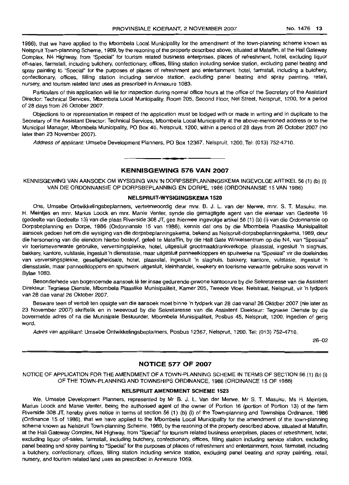1986), that we have applied to the Mbombela Local Municipality for the amendment of the town-planning scheme known as Nelspruit Town-planning Scheme, 1989, by the rezoning of the property described above, situated at Mataffin, at the Hall Gateway Complex, N4 Highway, from "Special" for tourism related business enterprises, places of refreshment, hotel, excluding liquor off-sales, farmstall, including butchery, confectionary, offices, filling station including service station, excluding panel beating and spray painting to "Special" for the purposes of places of refreshment and entertainment, hotel, farmstall, including a butchery, confectionary, offices, filling station including service station, excluding panel beating and spray painting, retail, nursery, and tourism related land uses as prescribed in Annexure 1083.

Particulars of this application will lie for inspection during normal office hours at the office of the Secretary of the Assistant Director: Technical Services, Mbombela Local Municipality, Room 205, Second Floor, Nel Street, Nelspruit, 1200, for a period of 28 days from 26 October 2007.

Objections to or representation in respect of the application must be lodged with or made in writing and in duplicate to the Secretary of the Assistant Director: Technical Services, Mbombela Local Municipality at the above-mentioned address or to the Municipal Manager, Mbombela Municipality, PO Box 45, Nelspruit, 1200, within a period of 28 days from 26 October 2007 (no later than 23 November 2007).

Address of applicant: Umsebe Development Planners, PO Box 12367, Nelspruit, 1200, Tel: (013) 752-4710.

#### **KENNISGEWING 576 VAN 2007**

**•**

KENNISGEWING VAN AANSOEK OM WYSIGING VAN 'N DORPSBEPLANNINGSKEMA INGEVOLGE ARTIKEL 56 (1) (b) (i) VAN DIE ORDONNANSIE OP DORPSBEPLANNING EN DORPE, 1986 (ORDONNANSIE 15 VAN 1986)

#### **NELSPRUIT·WYSIGINGSKEMA 1520**

Ons, Umsebe Ontwikkelingsbeplanners, verteenwoordig deur mnr. B. J. L. van der Merwe, mnr. S. T. Masuku, me. H. Meintjes en mnr. Marius Loock en mnr. Manie Venter, synde die gemagtigde agent van die eienaar van Gedeelte 16 (gedeelte van Gedeelte 13) van die plaas Riverside 308 JT, gee hiermee ingevolge artikel56 (1) (b) (i) van die Ordonnansie op Dorpsbeplanning en Dorpe, 1986 (Ordonnansie 15 van 1986), kennis dat ons by die Mbombela Plaaslike Munisipaliteit aansoek gedoen het om die wysiging van die dorpsbeplanningskema, bekend as Nelspruit-dorpsbeplanningskema, 1989, deur die hersonering van die eiendom hierbo beskryf, gelee te Mataffin, by die Hall Gate Winkelsentrum op die N4, van "Spesiaal" vir toerismeverwante gebruike, verversingsplekke, hotel, uitgesluit grootmaatdrankverkope, plaasstal, ingesluit 'n slaghuis, bakkery, kantore, vulstasie, ingesluit 'n diensstasie, maar uitgesluit panneelkloppers en spuitwerke na "Spesiaal" vir die doeleindes van verversingsplekke, geselligheidsale, hotel, plaasstal, ingesluit 'n slaghuis, bakkery, kantore, vulstasie, ingesluit 'n diensstasie, maar panneelkloppers en spuitwerk uitgesluit, kleinhandel, kwekery en toerisme verwante gebruike soos vervat in Bylae 1083.

Besonderhede van bogenoemde aansoek Iê ter insae gedurende gewone kantoorure by die Sekretaresse van die Assistent Direkteur: Tegniese Dienste, Mbombela Plaaslike Munisipaliteit, Kamer 205, Tweede Vloer, Nelstraat, Nelspruit, vir 'n tydperk van 28 dae vanaf 26 Oktober 2007.

Besware teen of vertoë ten opsigte van die aansoek moet binne 'n tydperk van 28 dae vanaf 26 Oktober 2007 (nie later as 23 November 2007) skriftelik en in tweevoud by die Sekretaresse van die Assistent Direkteur: Tegniese Dienste by die bovermelde adres of na die Munisipale Bestuurder, Mbombela Munisipaliteit, Posbus 45, Nelspruit, 1200, ingedien of gerig word.

Adres van applikant: Umsebe Ontwikkelingsbeplanners, Posbus 12367, Nelspruit, 1200. Tel: (013) 752-4710.

26-02

#### **NOTICE 577 OF 2007**

NOTICE OF APPLICATION FOR THE AMENDMENT OF A TOWN-PLANNING SCHEME IN TERMS OF SECTION 56 (1) (b) (i) OF THE TOWN-PLANNING AND TOWNSHIPS ORDINANCE, 1986 (ORDINANCE 15 OF 1986)

#### **NELSPRUIT AMENDMENT SCHEME** 1523

We, Umsebe Development Planners, represented by Mr B. J. L. Van der Merwe, Mr S. T. Masuku, Ms H. Meintjes, Marius Loock and Manie Venter, being the authorised agent of the owner of Portion 16 (portion of Portion 13) of the farm Riverside 308 JT, hereby gives notice in terms of section 56 (1) (b) (i) of the Town-planning and Townships Ordinance, 1986 (Ordinance 15 of 1986), that we have applied to the Mbombela Local Municipality for the amendment of the town-planning scheme known as Nelspruit Town-planning Scheme, 1989, by the rezoning of the property described above, situated at Mataffin, at the Hall Gateway Complex, N4 Highway, from "Special" for tourism related business enterprises, places of refreshment, hotel, excluding liquor off-sales, farmstall, including butchery, confectionary, offices, filling station including service station, excluding panel beating and spray painting to "Special" for the purposes of places of refreshment and entertainment, hotel, farmslall, including a butchery, confectionary, offices, filling station including service station, excluding panel beating and spray painting, retail, nursery, and tourism related land uses as prescribed in Annexure 1069.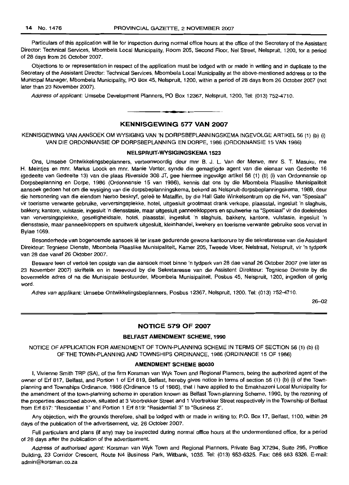Particulars of this application will lie for inspection during normal office hours at the office of the Secretary of the Assistant Director: Technical Services, Mbombela Local Municipality, Room 205, Second Floor, Nel Street, Nelspruit, 1200, for a period of 28 days from 26 October 2007.

Objections to or representation in respect of the application must be lodged with or made in writing and in duplicate to the Secretary of the Assistant Director: Technical Services, Mbombela Local Municipality at the above-mentioned address or to the Municipal Manager, Mbombela Municipality, PO Box 45, Nelspruit, 1200, within a period of 28 days from 26 October 2007 (not later than 23 November 2007).

Address of applicant: Umsebe Development Planners, PO Box 12367, Nelspruit, 1200, Tel: (013) 752·4710.

#### KENNISGEWING 577 VAN 2007

KENNISGEWING VAN AANSOEK OM WYSIGING VAN 'N DORPSBEPLANNINGSKEMA INGEVOLGE ARTIKEL 56 (1) (b) (i) VAN DIE ORDONNANSIE OP DORPSBEPLANNING EN DORPE, 1986 (ORDONNANSIE 15 VAN 1986)

#### NELSPRUIT·WVSIGINGSKEMA 1523

Ons, Umsebe Ontwikkelingsbeplanners, verteenwoordig deur mnr B. J. L. Van der Merwe, mnr S. 1. Masuku, me H. Meintjes en mnr. Marius Loock en mnr. Manie Venter, synde die gemagtigde agent van die eienaar van Gedeelte 16 (gedeelte van Gedeelte 13) van die plaas Riverside 308 JT, gee hiermee ingevolge artikel 56 (1) (b) (I) van Ordonnansie op Dorpsbeplanning en Dorpe, 1986 (Ordonnansie 15 van 1986), kennis dat ons by die Mbombela Plaaslike Munisipaliteit aansoek gedoen het om die wysiging van die dorpsbeplanningskema, bekend as Nelspruit-dorpsbeplanningskema, 1989, deur die hersonering van die eiendom hierbo beskryf, geleë te Mataffin, by die Hall Gate Winkelsentrum op die N4, van "Spesiaal" vir toerisme verwante gebruike, verversingsplekke, hotel, uitgesluit grootmaat drank verkope, plaasstal, ingesluit 'n slaghuis, bakkery, kantore, vulstasie, ingesluit 'n diensstasie, maar uitgesluit panneelkloppers en spuitwerke na "Spesiaal" vir die doeleindes van verversingsplekke, geselligheidsale, hotel, plaasstal, ingesluit 'n slaghuis, bakkery, kantore, vulstasie, ingesluit 'n diensstasie, maar panneelkloppers en spuitwerk uitgesluit, kleinhandel, kwekery en toerisme verwante gebruike soos vervat in Bylae 1069.

Besonderhede van bogenoemde aansoek lê ter insae gedurende gewone kantoorure by die sekretaresse van die Assistent Direkteur: Tegniese Dlenste, Mbombela Plaaslike Munisipaliteit, Kamer 205, Tweede Vloer, Nelstraat, Nelspruit, vir 'n tydperk van 28 dae vanaf 26 Oktober 2007.

Besware teen of vertoe ten opsigte van die aansoek moet binne 'n tydperk van 28 dae vanaf 26 Oktober 2007 (nie later as 23 November 2007) skriftelik en in tweevoud by die Sekretaresse van die Assistent Direkteur: Tegniese Dienste by die bovermelde adres of na die Munisipale Bestuurder, Mbombela Munisipaliteit, Posbus 45, Nelspruit, 1200, ingedien of gerig word.

Adres van applikant: Umsebe Ontwikkelingsbeplanners, Posbus 12367, Nelspruit, 1200. Tel: (013) 752-4710.

26-02

#### NOTICE 579 OF 2007

#### BELFAST AMENDMENT SCHEME, 1990

NOTICE OF APPLICATION FOR AMENDMENT OF TOWN-PLANNING SCHEME IN TERMS OF SECTION 56 (1) (b) (i) OF THE TOWN·PLANNING AND TOWNSHIPS ORDINANCE, 1986 (ORDINANCE 15 OF 1986)

#### AMENDMENT SCHEME B0030

I, Vivienne Smith TRP (SA), of the firm Korsman van Wyk Town and Regional Planners, being the authorized agent of the owner of Erf 817, Belfast, and Portion 1 of Ert 819, Belfast, hereby gives notice in terms of section 56 (1) (b) (i) of the Townplanning and Townships Ordinance, 1986 (Ordinance 15 of 1986), that I have applied to the Emakhazeni Local Municipality for the amendment of the town-planning scheme in operation known as Belfast Town-planning Scheme, 1990, by the rezoning of the properties described above, situated at 3 Voortrekker Street and 1 Voortrekker Street respectively in the Township of Belfast from Ert817: "Residential 1" and Portion 1 Ert 819: "Residential 3" to "Business 2".

Any objection, with the grounds therefore, shall be lodged with or made in writing to: P.O. Box 17, Belfast, 1100, within 28 days of the publication of the advertisement, viz. 26 October 2007.

Full particulars and plans (if any) may be inspected during normal office hours at the undermentioned office, for a period of 28 days after the publication of the advertisement.

Address of authorised agent: Korsman van Wyk Town and Regional Planners, Private Bag X7294, Suite 295, Proffice Building, 23 Corridor Crescent, Route N4 Business Park, Witbank, 1035. Tel: (013) 653-6325. Fax: 086 663 6326. E-mail: admin@korsman.co.za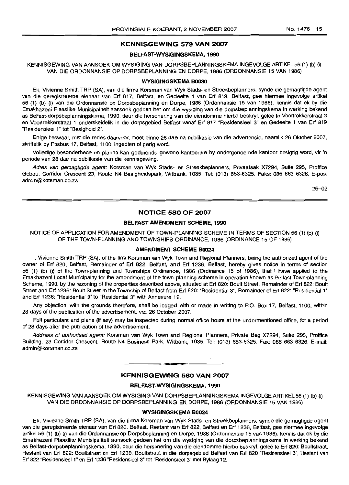#### **KENNISGEWING 579 VAN 2007**

#### **BELFAST·WYSIGINGSKEMA,1990**

#### KENNISGEWING VAN AANSOEK OM WYSIGING VAN DORPSBEPLANNINGSKEMA INGEVOLGE ARTIKEL 56 (1) (b) (i) VAN DIE ORDONNANSIE OP DORPSBEPLANNING EN DORPE, 1986 (ORDONNANSIE 15 VAN 1986)

#### **WYSIGINGSKEMA B0030**

Ek, Vivienne Smith TRP (SA), van die firma Korsman van Wyk Stads- en Streekbeplanners, synde die gemagtigde agent van die geregistreerde eienaar van Erf 817, Belfast, en Gedeelte 1 van Erf 819, Belfast, gee hiermee ingevolge artikel 56 (1) (b) (i) van die Ordonnansie op Dorpsbeplanning en Dorpe, 1986 (Ordonnansie 15 van 1986), kennis dat ek by die Emakhazeni Plaaslike Munisipaliteit aansoek gedoen het om die wysiging van die dorpsbeplanningskema in werking bekend as Belfast-dorpsbeplanningskema, 1990, deur die hersonering van die eiendomme hierbo beskryf, gelee te Voortrekkerstraat 3 en Voortrekkerstraat 1 onderskeidelik in die dorpsgebied Belfast vanaf Erf 817 "Residensieel 3" en Gedeelte 1 van Erf 819 "Aesidensieel 1" tot "Besigheid 2".

Enige beswaar, met die redes daarvoor, moet binne 28 dae na publikasie van die advertensie, naamlik 26 Oktober 2007, skriftelik by Posbus 17, Belfast, 1100, ingedien of gerig word.

Volledige besonderhede en planne kan gedurende gewone kantoorure by ondergenoemde kantoor besigtig word, vir 'n periode van 28 dae na publikasie van die kennisgewing.

Adres van gemagtigde agent: Korsman van Wyk Stads- en Streekbeplanners, Privaatsak X7294, Suite 295, Proffice Gebou, Corridor Crescent 23, Route N4 Besigheidspark, Witbank, 1035. Tel: (013) 653-6325. Faks: 086 663 6326. E-pos: admin@korsman.co.za

26--02

#### **NOTICE 580 OF 2007**

#### **BELFAST AMENDMENT SCHEME, 1990**

NOTICE OF APPLICATION FOR AMENDMENT OF TOWN-PLANNING SCHEME IN TERMS OF SECTION 56 (1) (b) (I) OF THE TOWN-PLANNING AND TOWNSHIPS ORDINANCE, 1986 (ORDINANCE 15 OF 1986)

#### **AMENDMENT SCHEME B0024**

I, Vivienne Smith TRP (SA), of the firm Korsman van Wyk Town and Regional Planners, being the authorized agent of the owner of Erf 820, Belfast, Remainder of Erf 822, Belfast, and Erf 1236, Belfast, hereby gives notice in terms of section 56 (1) (b) (i) of the Town-planning and Townships Ordinance, 1986 (Ordinance 15 of 1986), that I have applied to the Emakhazeni Local Municipality for the amendment of the town-planning scheme in operation known as Belfast Town-planning Scheme, 1990, by the rezoning of the properties described above, situated at Erf 820: Boult Street, Remainder of Erf 822: Boult Street and Erf 1236: Boult Street in the Township of Belfast from Erf 820: "Residential 3", Remainder of Erf 822: "Residential 1" and Erf 1236: "Residential 3" to "Residential 3" with Annexure 12.

Any objection, with the grounds therefore, shall be lodged with or made in writing to P.O. Box 17, Belfast, 1100, within 28 days of the publication of the advertisement, viz. 26 October 2007.

Full particulars and plans (if any) may be inspected during normal office hours at the undermentioned office, for a period of 28 days after the publication of the advertisement.

Address of authorised agent: Korsman van Wyk Town and Regional Planners, Private Bag X7294, Suite 295, Proffice Building, 23 Corridor Crescent, Route N4 Business Park, Witbank, 1035. Tel: (013) 653-6325. Fax: 086 663 6326. E-mail: admin@korsman.co.za

#### **KENNISGEWING 5BO VAN 2007**

#### **BELFAST·WYSIGINGSKEMA, 1990**

KENNISGEWING VAN AANSOEK OM WYSIGING VAN DORPSBEPLANNINGSKEMA INGEVOLGEARTIKEL56 (1) (b) (i) VAN DIE ORDONNANSIE OP DORPSBEPLANNING EN DORPE, 1986 (ORDONNANSIE 15 VAN 1986)

#### **WVSIGINGSKEMA B0024**

Ek, Vivienne Smith TRP (SA), van die firma Korsman van Wyk Stads- en Streekbeplanners, synde die gemagtigde agent van die geregistreerde eienaar van Erf 820, Belfast, Restant van Erf 822, Belfast en Erf 1236, Belfast, gee hiermee ingevolge artikel 56 (1) (b) (i) van die Ordonnansie op Dorpsbeplanning en Dorpe, 1986 (Ordonnansie 15 van 1986), kennis dat ek by die Emakhazeni Plaaslike Munisipaliteit aansoek gedoen het om die wysiging van die dorpsbeplanningskema in werking bekend as Belfast-dorpsbeplanningskema, 1990, deur die hersonering van die eiendomme hierbo beskryf, gelee te Erf 820: Boultstraat, Restant van Erf 822: Boultstraat en Erf 1236: Boultstraat in die dorpsgebied Belfast van Erf 820 "Residensieel 3", Restant van Erf 822 "Residensieel 1" en Erf 1236 "Residensieel 3" tot "Residensieel 3" met Bylaag 12.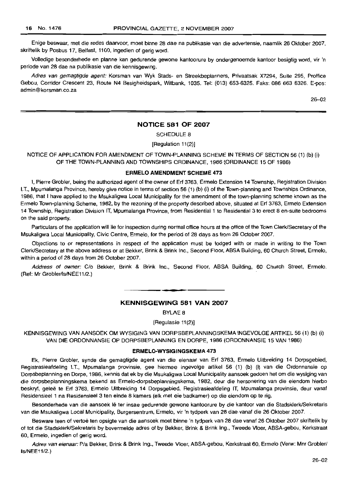Enige beswaar, met die redes daarvoor, moet binne 28 dae na publikasie van die advertensie, naamlik 26 Oktober 2007, skriftelik by Posbus 17, Belfast, 1100, ingedien of gerig word.

Volledige besonderhede en planne kan gedurende gewone kantoorure by ondergenoemde kantoor besigtig word, vir 'n periode van 28 dae na publikasie van die kennisgewing.

Adres van gemagtigde agent: Korsman van Wyk Stads- en Streekbeplanners, Privaatsak X7294, Suite 295, Prottice Gebou, Corridor Crescent 23, Route N4 Besigheidspark, Witbank, 1035. Tel: (013) 653-6325. Faks: 086 663 6326. E-pos: admin@korsman.co.za

26-02

#### NOTICE 581 OF 2007

SCHEDULE 8

[Regulation 11(2)]

NOTICE OF APPLICATION FOR AMENDMENT OF TOWN-PLANNING SCHEME IN TERMS OF SECTION 56 (1) (b) (i) OF THE TOWN-PLANNING AND TOWNSHIPS ORDINANCE, 1986 (ORDINANCE 15 OF 1986)

#### ERMELO AMENDMENT SCHEME 473

I, Pierre Grobler, being the authorized agent of the owner of Erf 3763, Ermelo Extension 14 Township, Registration Division LT., Mpumalanga Province, hereby give notice in terms of section 56 (1) (b) (i) of the Town-planning and Townships Ordinance, 1986, that I have applied to the Msukaligwa Local Municipality for the amendment of the town-planning scheme known as the Ermelo Town-planning Scheme, 1982, by the rezoning of the property described above, situated at Erf 3763, Ermelo Extension 14 Township, Registration Division IT, Mpumalanga Province, from Residential 1 to Residential 3 to erect 8 en-suite bedrooms on the said property.

Particulars of the application will lie for inspection during normal office hours at the office of the Town Clerk/Secretary of the Msukaligwa Local Municipality, Civic Centre, Ermelo, for the period of 28 days as from 26 October 2007.

Objections to or representations in respect of the application must be lodged with or made in writing to the Town ClerklSecretary at the above address or at Bekker, Brink & Brink Inc., Second Floor, ABSA Building, 60 Church Street, Ermelo, within a period of 28 days from 26 October 2007.

Address of owner: C/o Bekker, Brink & Brink Inc., Second Floor, ABSA Building, 60 Church Street, Ermelo. (Ref: Mr Grobler/Is/NEE11/2.)

#### KENNISGEWING 581 VAN 2007

**-**

BYLAE 8

[Regulasie 11(2)]

KENNISGEWING VAN AANSOEK OM WYSIGING VAN DORPSBEPLANNINGSKEMA INGEVOLGE ARTIKEL 56 (1) (b) (i) VAN DIE ORDONNANSIE OP DORPSBEPLANNING EN DORPE, 1986 (ORDONNANSIE 15 VAN 1986)

#### ERMELO-WYSIGINGSKEMA 473

Ek, Pierre Grobler, synde die gemagtigde agent van die eienaar van Erf 3763, Ermelo Uitbreiding 14 Dorpsgebied, Registrasieafdeling LT., Mpumalanga provinsie, gee hiermee ingevolge artikel 56 (1) (b) (i) van die Ordonnansie op Dorpsbeplanning en Dorpe, 1986, kennis dat ek by die Msukaligwa Local Municipality aansoek gedoen het om die wysiging van die dorpsbeplanningskema bekend as Ermelo-dorpsbeplanningskema, 1982, deur die hersonering van die eiendom hierbo beskryf, geleë te Erf 3763, Ermelo Uitbreiding 14 Dorpsgebied, Registrasieafdeling IT, Mpumalanga provinsie, deur vanaf Residensieel 1 na Residensieel 3 ten einde 8 kamers (elk met eie badkamer) op die eiendom op te rig.

Besonderhede van die aansoek lê ter insae gedurende gewone kantoorure by die kantoor van die Stadsklerk/Sekretaris van die Msukaligwa Local Municipality, Burgersentrum, Ermelo, vir 'n tydperk van 28 daevanaf die 26 Oktober 2007.

Besware teen of vertoe ten opsigte van die aansoek moet binne 'n tydperk van 28 dae vanaf 26 Oktober 2007 skriftelik by of tot die StadsklerklSekretaris by bovermelde acres of by Bekker, Brink & Brink Ing., Tweede Vloer, ABSA-gebou, Kerkstraat 50, Ermelo, ingedien of gerig word.

Adres van eienaar: P/a Bekker, Brink & Brink Ing., Tweede Vloer, ABSA-gebou, Kerkstraat 60, Ermelo (Verw: Mnr Grobler/ IsINEE11/2.)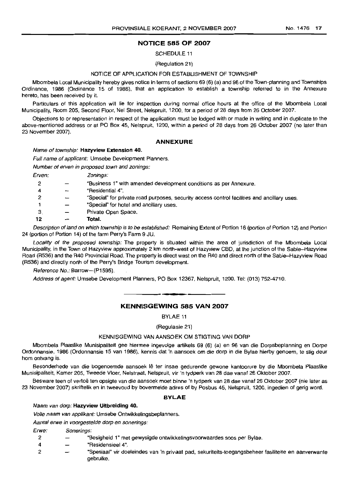#### NOTICE 585 OF 2007

SCHEDULE 11

(Regulation 21)

#### NOTICE OF APPLICATION FOR ESTABLISHMENT OF TOWNSHIP

Mbombela Local Municipality hereby gives notice in terms of sections 69 (6) (a) and 96 of the Town-planning and Townships Ordinance, 1986 (Ordinance 15 of 1986), that an application to establish a township referred to in the Annexure hereto, has been received by it.

Particulars of this application will lie for inspection during normal office hours at the office of the Mbombela Local Municipality, Room 205, Second Floor, Nel Street, Nelspruit, 1200, for a period of 28 days from 26 October 2007.

Objections to or representation in respect of the application must be lodged with or made in writing and in duplicate to the above-mentioned address or at PO Box 45, Nelspruit, 1200, within a period of 28 days from 26 October 2007 (no later than 23 November 2007).

#### ANNEXURE

#### Name of township: Hazyview Extension 40.

Full name of applicant: Umsebe Development Planners.

Number of erven in proposed town and zonings:

Erven: Zonings:

| 12 | Total.                                                                                      |
|----|---------------------------------------------------------------------------------------------|
| -3 | Private Open Space,                                                                         |
|    | "Special" for hotel and ancillary uses.                                                     |
|    | "Special" for private road purposes, security access control facilities and ancillary uses. |
| 4  | "Residential 4".                                                                            |
| 2  | "Business 1" with amended development conditions as per Annexure.                           |
|    |                                                                                             |

Description of land on which township is to be established: Remaining Extent of Portion 16 (portion of Portion 12) and Portion 24 (portion of Portion 14) of the farm Perry's Farm 9 JU.

Locality of the proposed township: The property is situated within the area of jurisdiction of the Mbombela Local Municipality, in the Town 01 Hazyview approximately 2 km north-west of Hazyview CBD, at the junction of the Sabie-Hazyview Road (R536) and the R40 Provincial Road. The property is direct west on the R40 and direct north 01 the Sabie-Hazyview Road (R536) and directly north of the Perry's Bridge Tourism development.

Reference No.: Barrow-(P1595).

Address of agent: Umsebe Development Planners, PO Box 12367, Nelspruit, 1200. Tel: (013) 752-4710 .

### **•** KENNISGEWING 585 VAN 2007

BYLAE 11

(Regulasie 21)

#### KENNISGEWING VAN AANSOEK OM STIGTING VAN DORP

Mbombela Plaaslike Munisipaliteit gee hiermee ingevolge arlikels 69 (6) (a) en 96 van die Dorpsbeplanning en Dorpe Ordonnansie, 1986 (Ordonnansie 15 van 1986), kennis dat 'n aansoek om die dorp in die Bylae hierby genoem, te stig deur hom ontvang is.

Besonderhede van die bogenoemde aansoek Ie ter insae gedurende gewone kantoorure by die Mbombela Plaaslike Munisipaliteit, Kamer 205, Tweede Vloer, Nelstraat, Nelspruit, vir 'n tydperk van 28 dae vanal 26 Oktober 2007.

Besware teen of vertoë ten opsigte van die aansoek moet binne 'n tydperk van 28 dae vanaf 26 Oktober 2007 (nie later as 23 November 2007) skriftelik en in tweevoud by bovermelde adres of by Posbus 45, Nelspruit, 1200, ingedien of gerig word.

#### BYLAE

#### Naam van dorp: Hazyview Uitbreiding 40.

Volle naam van applikant: Umsebe Ontwikkelingsbeplanners.

Aantal erwe in voorgestelde dorp en sonerings:

#### Erwe: Sonerings:

- 2 "Besigheid 1" met gewysigde ontwikkelingsvoorwaardes soos per Bylae.
- 4 "Residensieel 4".
- 2 "Spesiaal" vir doeleindes van 'n privaat pad, sekuriteits-toegangsbeheer fasiliteite en aanverwante gebruike.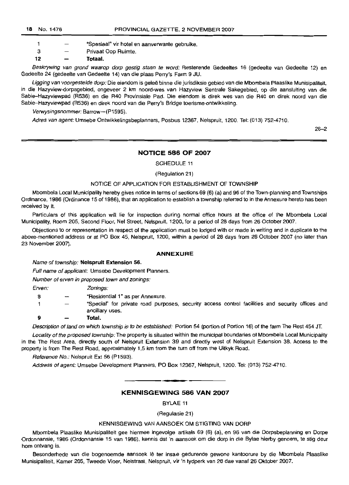1 - "Spesiaal" vir hotel en aanverwante gebruike.

3 Privaat Oop Ruimte.

**12 Totaal.**

Beskrywing van grond waarop dorp gestig staan te word: Resterende Gedeeltes 16 (gedeelte van Gedeelte 12) en Gedeelle 24 (gedeelte van Gedeelte 14) van die plaas Perry's Farm 9 JU.

Ligging van voorgestelde dorp: Die eiendom is geleë binne die jurisdiksie gebied van die Mbombela Plaaslike Munisipaliteit, in die Hazyview-dorpsgebied, ongeveer 2 km noord-wes van Hazyview Sentrale Sakegebied, op die aansluiting van die Sabie-Hazyviewpad (R536) en die R40 Provinsiale Pad. Die eiendom is direk wes van die R40 en direk noord van die Sabie-Hazyviewpad (R536) en direk noord van die Perry's Bridge toerisme-ontwikkeling.

Verwysingsnommer: Barrow-(P1595).

Adres van agent: Umsebe Onlwikkelingsbeplanners, Posbus 12367, Nelspruit, 1200. Tel: (013) 752-4710.

26-2

#### **NOTICE 586 OF 2007**

SCHEDULE 11

(Regulation 21)

#### NOTICE OF APPLiCATION FOR ESTABLiSHMENT OF TOWNSHIP

Mbombela Local Municipalily hereby gives notice in terms of sections 69 (6) (a) and 96 of the Town-planning and Townships Ordinance, 1986 (Ordinance 15 of 1986), that an application to establish a township referred to in the Annexure hereto has been received by it.

Particulars of this application will lie for inspection during normal office hours at the office of the Mbombela Local Municipality, Room 205, Second Floor, Nel Street, Nelspruit, 1200, for a period of 28 days from 26 October 2007.

Objections to or representation in respect of the appiication must be lodged with or made in writing and in duplicate to the above-mentioned address or at PO Box 45, Nelspruit, 1200, within a period of 28 days from 26 October 2007 (no later than 23 November 2007).

#### **ANNEXURE**

Name of township: **Nelspruit Extension** 56.

Full name of applicant: Umsebe Development Planners.

Number of erven in proposed town and zonings:

Erven: Zonings:

- 8 "Residential 1" as per Annexure.
- 1 "Special" for private road purposes, security access control facilities and security offices and ancillary uses.
- **9 Total.**

Description of land on which township is to be established: Portion 54 (portion of Portion 16) of the farm The Rest 454 JT.

Locality of the proposed township: The property is situated within the municipal boundaries of Mbombela Local Municipality in the The Rest Area, directly south of Nelspruit Extension 39 and directly west of Nelspruit Extension 38. Access to the property is from The Rest Road, approximately 1,5 km from the turn off from the Uitkyk Road.

Reference No.: Nelspruit Ext 56 (P1593).

Address of agent: Umsebe Development Planners, PO Box 12367, Nelspruit, 1200. Tel: (013) 752-4710.

**KENNISGEWING 586 VAN 2007**

BYLAE 11

(Regulasie 21)

#### KENNISGEWING VAN AANSOEK OM STIGTING VAN DORP

Mbombela Plaaslike Munisipaliteit gee hiermee ingevolge artikels 69 (6) (a), en 96 van die Dorpsbeplanning en Darpe Ordonnansie, 1986 (Ordonnansie 15 van 1986), kennis dat 'n aansoek om die dorp in die Bylae hierby genoem, te slig deur hom ontvang is.

Besonderhede van die bogenoemde aansoek lê ter insae gedurende gewone kantoorure by die Mbombela Plaaslike Munisipaliteit, Kamer 205, Tweede Vloer, Nelstraat, Nelspruit, vir 'n tydperk van 28 dae vanaf 26 Oktober 2007.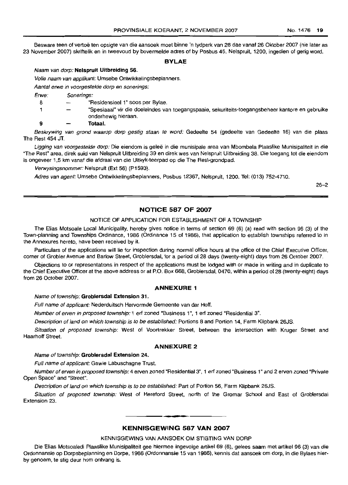Besware teen of vertoe ten opsigte van die aansoek moet binne 'n tydperk van 28 dae vanaf 26 Oktober 2007 (nie later as 23 November 2007) skriftelik en in tweevoud by bovermelde adres of by Posbus 45, Nelspruit, 1200, ingedien of gerig word.

#### **BYLAE**

#### Naam van dorp: **Nelspruit Uitbreiding** 56.

Volle naam van applikant: Umsebe Ontwikkelingsbeplanners.

Aantal erwe in voorgestelde dorp en sonerings:

Erwe: Sonerings:

- 8 "Residensieel 1" soos per Bylae.
- 1 "Spesiaaal" vir die doeleindes van toegangspaaie, sekuriteits-toegangsbeheer kantore en gebruike onderhewig hieraan.

#### 9 Totaal.

Beskrywing van grond waarop dorp gestig staan te word: Gedeelte 54 (gedeelte van Gedeelte 16) van die plaas The Rest 454 JT.

Ligging van voorgestelde dorp: Die eiendom is geleë in die munisipale area van Mbombela Plaaslike Munisipaliteit in die "The Rest" area, direk suid van Nelspruit Uitbreiding 39 en direk wes van Nelspruit Uitbreiding 38. Die toegang tot die eiendom is ongeveer 1,5 km vanaf die afdraai van die Uitkyk-teerpad op die The Rest-grondpad.

Verwysingsnommer: Nelspruit (Ext 56) (P1593).

Adres van agent: Umsebe Ontwikkelingsbeplanners, Posbus 12367, Nelspruit, 1200. Tel: (013) 752-4710.

26-2

#### **NOTICE 587 OF 2007**

#### NOTICE OF APPLICATION FOR ESTABLISHMENT OF A TOWNSHIP

The Elias Motsoale Local Municipality, hereby gives notice in terms of section 69 (6) (a) read with section 96 (3) of the Town-planning and Townships Ordinance, 1986 (Ordinance 15 of 1986), that application to establish townships referred to in the Annexures hereto, have been received by it.

Particulars of the applications will lie for inspection during normal office hours at the office of the Chief Executive Officer, corner of Grobler Avenue and Barlow Street, Groblersdal, for a period of 28 days (twenty-eight) days from 26 October 2007.

Objections to or representations in respect of the applications must be lodged with or made in writing and in duplicate to the Chief Executive Officer at the above address or at P.O. Box 668, Groblersdal, 0470, within a period of 28 (twenty-eight) days from 26 October 2007.

#### ANNEXURE 1

Name of township: **Groblersdal Extension** 31.

Full name of applicant: Nederduitsch Hervormde Gemeente van der Hoff.

Number of erven in proposed township: 1 erf zoned "Business 1", 1 ert zoned "Residentiai 3".

Description of land on which township is to be established: Portions 8 and Portion 14, Farm Klipbank 26JS.

Situation of proposed township: West of Voortrekker Street, between the intersection with Kruger Street and Haarhoff Street.

#### **ANNEXURE 2**

#### Name of township: **Groblersdal Extension** 24.

Full name of applicant: Gawie Labuschagne Trust.

Number of erven in proposed township: 4 erven zoned "Residential 3", 1 erf zoned "Business 1" and 2 erven zoned "Private Open Space" and "Street".

Description of land on which township is to be established: Part of Portion 56, Farm Klipbank 26JS.

Situation of proposed township: West of Hereford Street, north of the Gromar School and East of Groblersdal Extension 23.

### **• KENNISGEWING 587 VAN 2007**

#### KENNISGEWING VAN AANSOEK OM STIGTING VAN DORP

Die Elias Motsoaledi Plaaslike Munisipaliteit gee hiermee ingevolge artikel 69 (6), gelees saam met artikel 96 (3) van die Ordonnansie op Dorpsbeplanning en Dorpe, 1986 (Ordonnansie 15 van 1986), kennis dat aansoek am dorp, in die Bylaes hierby genoem, te stig deur hom ontvang is.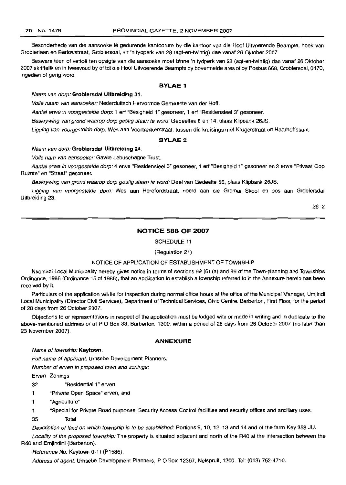Besonderhede van die aansoeke Ie gedurende kantoorure by die kantoor van die Hoof Uitvoerende Beampte, hoek van Groblerlaan en Barlowstraat, Groblersdal, vir 'n tydperk van 28 (agt-en-lwintig) dae vanaf 26 Oktober 2007.

Besware teen of vertoe ten opsigte van die aansoeke moet binne 'n tydperk van 28 (agt-en-lwintig) dae vanaf 26 Oktober 2007 skriftelik en in lweevoud by of tot die Hoof Uilvoerende Beampte by bovermelde ares of by Posbus 668, Groblersdal, 0470, ingedien of gerig word.

#### **BYLAE 1**

#### Naam van dorp: Groblersdal Uitbreiding 31.

Volle naam van aansoeker: Nederduitsch Hervormde Gemeente van der Hoff.

Aantal erwe in voorgestelde dorp: 1 erf "Besigheid 1" gesoneer, 1 erf "Residensieel 3" gesoneer.

Beskrywing van grond waarop dorp gestig staan te word: Gedeeltes 8 en 14, plaas Klipbank 26JS.

Ligging van voorgestelde dorp: Wes aan Voortrekkerstraat, tussen die kruisings met Krugerstraat en Haarhoffstraat.

### **BYLAE2**

#### Naam van dorp: Groblersdal Uitbreiding 24.

Volle nam van aansoeker: Gawie Labuschagne Trust.

Aantal erwe in voorgestelde dorp: 4 erwe "Residensieel 3" gesoneer, 1 erf "Besigheid 1" gesoneer en 2 erwe "Privaat Oop Ruimte" en "Straat" gesoneer.

Beskrywing van grond waarop dorp gestig staan te word: Deel van Gedeelte 56, plaas Klipbank 26JS.

Ligging van voorgestelde dorp: Wes aan Herefordstraat, noord aan die Gromar Skool en oos aan Groblersdal Uitbreiding 23.

26-2

#### **NOTICE 588 OF 2007**

SCHEDULE 11

(Regulation 21)

#### NOTICE OF APPLICATION OF ESTABLISHMENT OF TOWNSHIP

Nkomazi Local Municipality hereby gives notice in terms of sections 69 (6) (a) and 96 of the Town-planning and Townships Ordinance, 1986 (Ordinance 15 of 1986), that an application to establish a township referred to in the Annexure hereto has been received by it.

Particulars of the application will lie for inspection during normal office hours at the office of the Municipal Manager, Umjindi Local Municipality (Director Civil Services), Department of Technical Services, Civic Centre. Barberton, First Floor, for the period of 28 days from 26 October 2007.

Objections to or representations in respect of the application must be lodged with or made in writing and in duplicate to the above-mentioned address or at P O Box 33, Barberton, 1300, within a period of 28 days from 26 October 2007 (no later than 23 November 2007).

#### **ANNEXURE**

Name of township: Keytown.

Full name of applicant: Umsebe Development Planners.

Number of erven in proposed town and zonings:

Erven Zonings

32 "Residential 1" erven

1 "Private Open Space" erven, and

1 "Agriculture"

1 "Special for Private Road purposes, Security Access Control facilities and security offices and ancillary uses.

35 Total

Description of land on which township is to be established: Portions 9, 10, 12, 13 and 14 and of the farm Key 358 JU.

Locality of the proposed township: The property is situated adjacent and north of the R40 at the intersection between the R40 and Emjindini (Barberton).

Reference No: Keytown 0-1) (P1586).

Address of agent: Umsebe Development Planners, P O Box 12367, Nelspruit, 1200. Tel: (013) 752-4710.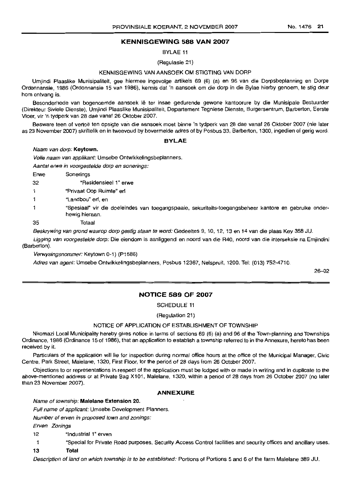#### **KENNISGEWING 588 VAN 2007**

BYLAE 11

(Regulasie 21)

#### KENNISGEWING VAN AANSOEK OM STIGTING VAN DORP

Umjindi Plaaslike Munisipaliteit, gee hiermee ingevolge artikels 69 (6) (a) en 96 van die Dorpsbeplanning en Dorpe Ordonnansie, 1986 (Ordonnansie 15 van 1986), kennis dat 'n aansoek om die dorp in die Bylae hierby genoem, te stig deur hom ontvang is.

Besonderhede van bogenoemde aansoek lê ter insae gedurende gewone kantoorure by die Munisipale Bestuurder (Direkteur Siviele Dienste), Umjindi Plaaslike Munisipaliteit, Departement Tegniese Dienste, Burgersentrum, Barberton, Eerste Vloer, vir 'n tydperk van 28 dae vanaf 26 Oktober 2007.

Besware teen of vertoe ten opsigte van die aansoek moet binne 'n tydperk van 28 dae vanaf 26 Oktober 2007 (nie later as 23 November 2007) skriftelik en in tweevoud by hovermelde adres of by Posbus 33, Barberton, 1300, ingedien of gerig word.

#### **BYLAE**

Naam van dorp: Keytown.

Volle naam van applikant: Umsebe Ontwikkelingsbeplanners.

Aantal erwe in voorgestelde dorp en sonerings:

Erwe Sonerings

32 "Residensieel 1" erwe

- 1 "Privaat Oop Ruimte" erf
- 1 "Landbou" ert, en
- 1 "Spesiaal" vir die doeleindes van toegangspaaie, sekuriteits-toegangsbeheer kantore en gebruike onderhewig hieraan.
- 35 Totaal

Beskrywing van grond waarop dorp gestig staan te word: Gedeeltes 9,10,12,13 en 14 van die plaas Key 358 JU.

Ligging van voorgestelde dorp: Die eiendom is aanliggend en noord van die R40, noord van die interseksie na Emjindini (Barberton).

Verwysingsnommer: Keytown 0-1) (P1586)

Adres van agent: Umsebe Ontwikkelingsbeplanners, Posbus 12367, Nelspruit, 1200. Tel: (013) 752-4710.

26-02

#### **NOTICE 589 OF 2007**

SCHEDULE 11

(Regulation 21)

#### NOTICE OF APPLICATION OF ESTABLISHMENT OF TOWNSHIP

Nkomazi Local Municipality hereby gives notice in terms of sections 69 (6) (a) and 96 of the Town-planning and Townships Ordinance, 1986 (Ordinance 15 of 1986), that an application to establish a township referred to in the Annexure, hereto has been received by it.

Particulars of the application will lie for inspection during normal office hours at the office at the Municipal Manager, Civic Centre, Park Street, Malelane, 1320, First Floor, for the period of 28 days from 26 October 2007.

Objections to or representations in respect of the application must be lodged with or made in writing and in duplicate to the above-mentioned address or at Private Bag X101, Malelane, 1320, within a period of 28 days from 26 October 2007 (no later than 23 November 2007).

#### **ANNEXURE**

Name of township: **Malelane Extension** 20.

Full name of applicant: Umsebe Development Planners.

Number of erven in proposed town and zonings:

Erven Zonings

12 "Industrial 1" erven

1 "Special for Private Road purposes, Security Access Control facilities and security offices and ancillary uses.

13 Total

Description of land on which township is to be established: Portions of Portions 5 and 6 of the farm Malelane 389 JU.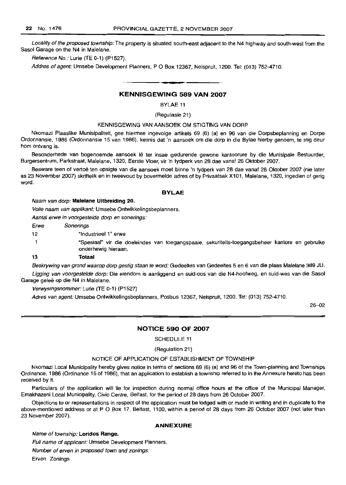Locality of the proposed township: The property is situated south-east adjacent to the N4 highway and south-west from the Sasol Garage on the N4 in Malelane.

Reference No.: Lurie (TE 0-1) (P1527).

Addres of agent: Umsebe Development Planners, P O Box 12367, Nelspruit, 1200. Tel: (013) 752-4710.

#### KENNISGEWING 589 VAN 2007

BYLAE 11

(Regulasie 21)

#### KENNISGEWING VAN AANSOEK OM STIGTING VAN DORP

Nkomazi Plaaslike Munisipaliteit, gee hiermee ingevolge artikels 69 (6) (a) en 96 van die Dorpsbeplanning en Dorpe Ordonnansie, 1986 (Ordonnansie 15 van 1986), kennis dat 'n aansoek om die dorp in die Bylae hierby genoem, te stig deur hom ontvang is.

Besonderhede van bogenoemde aansoek lê ter insae gedurende gewone kantoorure by die Munisipale Bestuurder, Burgersentrum, Parkstraat, Malelane, 1320, Eerste Vloer, vir 'n tydperk van 28 dae vanaf 26 Oktober 2007.

Besware teen of vertoe ten opsigte van die aansoek moet binne 'n tydperk van 28 dae vanaf 26 Oktober 2007 (nie later as 23 November 2007) skriftelik en in tweevoud by bovermelde adres of by Privaatsak X101, Malelane, 1320, ingedien of gerig word.

#### BYLAE

#### Naam van dorp: Malelane Uitbreiding 20.

Volle naam van applikant: Umsebe Ontwikkelingsbeplanners.

Aantal erwe in voorgestelde dorp en sonerings:

Erwe Sonerings

12 "Industrieel 1" erwe

1 "Spesiaal" vir die doeleindes van toegangspaaie, sekuriteits-toegangsbeheer kantore en gebruike onderhewig hieraan.

#### 13 Totaal

Beskrywing van grond waarop dorp gestig staan te word: Gedeeltes van Gedeeltes 5 en 6 van die plaas Malelane 389 JU.

Ligging van voorgestelde dorp: Die eiendom is aanliggend en suid-oos van die N4-hoofweg, en suid-wes van die Sasol Garage geleë op die N4 in Malelane.

Verwysingsnammer: Lurie (TE 0-1) (P1527)

Adres van agent: Umsebe Ontwikkelingsbeplanners, Posbus 12367, Nelspruit, 1200. Tel: (013) 752-4710.

26-02

#### NOTICE 590 OF 2007

SCHEDULE 11

#### (RegUlation 21)

#### NOTICE OF APPLICATION OF ESTABLISHMENT OF TOWNSHIP

Nkomazi Local Municipality hereby gives notice in terms of sections 69 (6) (a) and 96 of the Town-planning and Townships Ordinance, 1986 (Ordinance 15 of 1986), that an application to establish a township referred to in the Annexure hereto has been received by it.

Particulars of the application will lie for inspection during normal office hours at the office of the Municipal Manager, Emakhazeni Local Municipality, Civic Centre, Belfast, for the period of 28 days from 26 October 2007.

Objections to or representations in respect of the application must be lodged with or made in writing and in duplicate to the above-mentioned address or at P O Box 17, Belfast, 1100, within a period of 28 days from 26 October 2007 (not later than 23 November 2007).

#### ANNEXURE

Name of township: Loridos Range.

Full name of applicant: Umsebe Development Planners.

Number of erven in proposed town and zonings:

Erven Zonings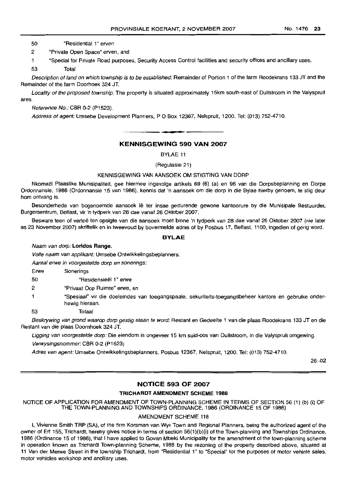50 "Residential 1" erven

2 "Private Open Space" erven, and

1 "Special for Private Road purposes, Security Access Control facilities and security offices and ancillary uses.

53 Total

Description ofland on which township is to be established: Remainder of Portion 1 of the farm Roodekrans 133 JT and the Remainder of the farm Doorhoek 324 JT.

Locality of the proposed township: The property is situated approximately 15km south-east of Dullstroom in the Valyspruit area.

Reference No.: CBR 0-2 (P1523).

Address of agent: Umsebe Development Planners, P O Box 12367, Nelspruit, 1200. Tel: (013) 752-4710.

### **• KENNISGEWING 590 VAN 2007**

BYLAE 11

(Regulasie 21)

#### KENNISGEWING VAN AANSOEK OM STIGTING VAN DORP

Nkomazi Plaaslike Munisipaliteit, gee hiermee ingevolge artikels 69 (6) (a) en 96 van die Dorpsbeplanning en Dorpe Ordonnansie, 1986 (Ordonnansie 15 van 1986), kennis dat 'n aansoek om die dorp in die Bylae hierby genoem, te stig deur hom ontvang is.

Besonderhede van bogenoemde aansoek Iê ter insae gedurende gewone kantoorure by die Munisipale Bestuurder, Burgersentrum, Belfast, vir 'n tydperk van 28 dae vanaf 26 Oktober 2007.

Besware teen of vertoe ten opsigte van die aansoek moet binne 'n tydperk van 28 dae vanaf 26 Oktober 2007 (nie later as 23 November 2007) skriftelik en in tweevoud by bovermelde adres of by Posbus 17, Belfast, 1100, ingedien of gerig word.

#### **BYLAE**

Naam van dorp: Loridos Range.

Volle naam van applikant: Umsebe Ontwikkelingsbeplanners.

Aantal erwe in voorgestelde dorp en sonerings:

Erwe Sonerings

50 "Hesidensieel 1" erwe

2 "Privaat Oop Ruimte" erwe, en

- 1 "Spesiaal" vir die doeleindes van toegangspaaie, sekuriteits-toegangsbeheer kantore en gebruike onderhewig hieraan.
	-

53 Totaal

Beskrywing van grond waarop dorp gestig staan te word: Restant en Gedeelte 1 van die plaas Roodekrans 133 JT en die Restant van die plaas Doornhoek 324 JT.

Ligging van voorgestelde dorp: Die eiendom is ongeveer 15 km suid-oos van Dullstroom, in die Valyspruit omgewing. Verwysingsnommer: CBR 0-2 (P1523)

Adres van agent: Umsebe Ontwikkelingsbeplanners, Posbus 12367, Nelspruit, 1200. Tel: (013) 752-4710.

26-02

#### **NOTICE 593 OF 2007**

#### **TRICHARDT AMENDMENT SCHEME 1988**

NOTICE OF APPLICATION FOR AMENDMENT OF TOWN-PLANNING SCHEME IN TERMS OF SECTION 56 (1) (b) (i) OF THE TOWN-PLANNING AND TOWNSHIPS ORDINANCE, 1986 (ORDINANCE 15 OF 1986)

#### AMENDMENT SCHEME 118

I, Vivienne Smith TRP (SA), of the firm Korsman van Wyk Town and Regional Planners, being the authorized agent of the owner of Erf 155, Trichardt, hereby gives notice in terms of section 56(1)(b)(i) of the Town-planning and Townships Ordinance, 1986 (Ordinance 15 of 1986), that I have applied to Govan Mbeki Municipality tor the amendment of the town-planning scheme in operation known as Trichardt Town-planning Scheme, 1988 by the rezoning of the property described above, situated at 11 Van der Merwe Street in the township Trichardt, from "Residential 1" to "Special" for the purposes of motor vehicle sales, motor vehicles workshop and ancillary uses.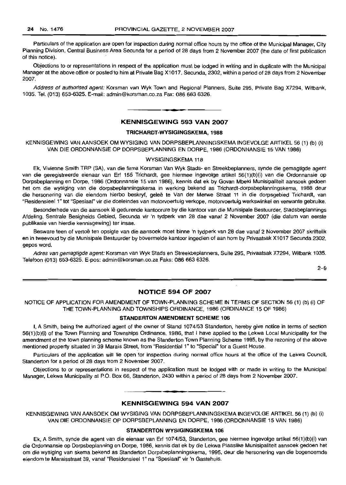Particulars of the application are open for inspection during normal office hours by the office of the Municipal Manager, City Planning Division, Central Business Area Secunda for a period of 28 days from 2 November 2007 (the date of first publication of this notice).

Objections to or representations in respect of the application must be lodged in writing and in duplicate with the Municipal Manager at the above office or posted to him at Private Bag X1017, Secunda, 2302, within a period of 28 days from 2 November 2007.

Address of authorised agent: Korsman van Wyk Town and Regional Planners, Suite 295, Private Bag X7294, Witbank, 1035. Tel. (013) 653-6325. E-mail: admin@korsman.co.za Fax: 086 663 6326.

#### **KENNISGEWING 593 VAN 2007**

**-**

#### **TRICHARDT-WYSIGINGSKEMA, 1988**

KENNISGEWING VAN AANSOEK OM WYSIGING VAN DORPSBEPLANNINGSKEMA INGEVOLGE ARTIKEL 56 (1) (b) (i) VAN DIE ORDONNANSIE OP DORPSBEPLANNING EN DORPE, 1986 (ORDONNANSIE 15 VAN 1986)

#### WYSIGINGSKEMA 118

Ek, Vivienne Smith TRP (SA), van die firma Korsman Van Wyk Stads- en Streekbeplanners, synde die gemagtigde agent van die geregistreerde eienaar van Erf 155 Trichardt, gee hiermee ingevolge artikel 56(1)(b)(i) van die Ordonnansie op Dorpsbeplanning en Dorpe, 1986 (Ordonnansie 15 van 1986), kennis dat ek by Govan Mbeki Munisipaliteit aansoek gedoen het om die wysiging van die dorpsbeplanningskema in werking bekend as Trichardt-dorpsbeplanningskema, 1988 deur die hersonering van die eiendom hierbo beskryf, geleë te Van der Merwe Straat 11 in die dorpsgebied Trichardt, van "Residensieel 1" tot "Spesiaal" vir die doeleindes van motorvoertuig verkope, motorvoertuig werkswinkel en verwante gebruike.

Besonderhede van die aansoek lê gedurende kantoorure by die kantoor van die Munisipale Bestuurder, Stadsbeplannings Afdeling, Sentrale Besigheids Gebied, Secunda vir 'n tydperk van 28 dae vanaf 2 November 2007 (die datum van eerste publikasie van hierdie kennisgewing) ter insae.

Besware teen of vertoe ten opsigte van die aansoek moet binne 'n tydperk van 28 dae vanaf 2 November 2007 skriftelik en in tweevoud by die Munisipale Bestuurder by bovermelde kantoor ingedien of aan hom by Privaatsak X1017 Secunda 2302, gepos word,

Adres van gemagtigde agent: Korsman van Wyk Stads en Streekbeplanners, Suite 295, Privaatsak X7294, Witbank 1035. Telefoon (013) 653-6325. E-pos: admin@korsman.co.za Faks: 086 6636326.

2-9

#### **NOTICE 594 OF 2007**

#### NOTICE OF APPLICATION FOR AMENDMENT OF TOWN-PLANNING SCHEME IN TERMS OF SECTION 56 (1) (b) (I) OF THE TOWN-PLANNING AND TOWNSHIPS ORDINANCE, 1986 (ORDINANCE 15 OF 1986)

#### **STANDERTON AMENDMENT SCHEME 106**

I, A Smith, being the authorized agent of the owner of Stand 1074/53 Standerton, hereby give notice in terms of section 56(1)(b)(i) of the Town Planning and Townships Ordinance, 1986, that I have applied to the Lekwa Local Municipality for the amendment of the town planning scheme known as the Standerton Town Planning Scheme 1995, by the rezoning of the above mentioned property situated in 39 Marais Street, from "Residential 1" to "Special" for a Guest House.

Particulars of the application will lie open for inspection during normal office hours at the office of the Lekwa Council, Standerton for a period of 28 days from 2 November 2007.

Objections to or representations in respect of the application must be lodged with or made in writing to the Municipal Manager, Lekwa Municipality at P.O. Box 66, Standerton, 2430 within a period of 28 days from 2 November 2007.

### **• KENNISGEWING 594 VAN 2007**

KENNISGEWING VAN AANSOEK OM WYSIGING VAN DORPSBEPLANNINGSKEMA INGEVOLGE ARTIKEL 56 (1) (b) (i) VAN DIE ORDONNANSIE OP DORPSBEPLANNING EN DORPE, 1986 (ORDONNANSIE 15 VAN 1986)

#### **STANDERTON WYSIGINGSKEMA 106**

Ek, A Smith, synde die agent van die eienaar van Erf 1074/53, Standerton, gee hiermee ingevolge artikel 56(1)(b)(i) van die Ordonnansie op Dorpsbeplanninq en Dorpe, 1986, kennis dat ek by die Lekwa Plaaslike Munisipaliteit aansoek gedoen het om die wysiging van skema bekend as Standerton Dorpsbeplanningskema, 1995, deur die hersonering van die bogenoemde eiendom te Maraisstraat 39, vanaf "Residensieel 1" na "Spesiaal" vir 'n Gastehuis.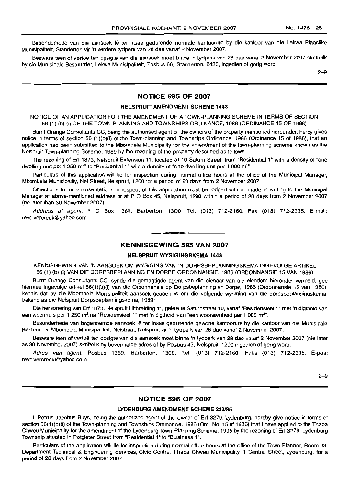Besonderhede van die aansoek lê ter insae gedurende normale kantoorure by die kantoor van die Lekwa Plaaslike Munisipaliteit, Standerton vir 'n verdere tydperk van 28 dae vanaf 2 November 2007.

Besware teen of vertoe ten opsigte van die aansoek moet binne 'n tydperk van 28 dae vanaf 2 November 2007 skriftelik by die Munisipale Bestuurder, Lekwa Munisipaliteit, Posbus 66, Standerton, 2430, ingedien of gerig word.

2-9

#### NOTICE 595 OF 2007

#### NELSPRUIT AMENDMENT SCHEME 1443

NOTICE OF AN APPLICATION FOR THE AMENDMENT OF A TOWN-PLANNING SCHEME IN TERMS OF SECTION 56 (1) (b) (i) OF THE TOWN-PLANNING AND TOWNSHIPS ORDINANCE, 1986 (ORDINANCE 15 OF 1986)

Burnt Orange Consultants CC, being the authorised agent of the owners of the property mentioned hereunder, herby gives notice in terms of section 56 (1)(b)(i) of the Town-planning and Townships Ordinance, 1986 (Ordinance 15 of 1986), that an application had been submitted to the Mbombela Municipality for the amendment of the town-planning scheme known as the Nelspruit Town-planning Scheme, 1989 by the rezoning of the property described as follows:

The rezoning of Erf 1873, Nelspruit Extension 11, located at 10 Saturn Street, from "Residential 1" with a density of "one dwelling unit per 1 250 m<sup>2</sup>" to "Residential 1" with a density of "one dwelling unit per 1 000 m<sup>2</sup>".

Particulars of this application will lie tor inspection during normal office hours at the office of the Municipal Manager, Mbombela Municipality, Nel Street, Nelspruit, 1200 for a period of 28 days from 2 November 2007.

Objections to, or representations in respect ot this application must be lodged with or made in writing to the Municipal Manager at above-mentioned address or at P O Box 45, Nelspruit, 1200 within a period of 28 days from 2 November 2007 (no later than 30 November 2007).

Address of agent: P O Box 1369, Barberton, 1300. Tel. (013) 712-2160. Fax (013) 712-2335. E-mail: revolvercreek@yahoo.com

### **E** KENNISGEWING 595 VAN 2007

#### NELSPRUIT WYSIGINGSKEMA 1443

KENNISGEWING VAN 'N AANSOEK OM WYSIGING VAN 'N DORPSBEPLANNINGSKEMA INGEVOLGE ARTIKEL 56 (1) (b) (i) VAN DIE DORPSBEPLANNING EN DORPE ORDONNANSIE, 1986 (ORDONNANSIE 15 VAN 1986)

Burnt Orange Consultants CC, synde die gemagtigde agent van die eienaar van die eiendom hieronder vermeld, gee hiermee ingevolge artikel 56(1)(b)(i) van die Ordonnansie op Dorpsbeplanning en Dorpe, 1986 (Ordonnansie 15 van 1986), kennis dat by die Mbombela Munisipaliteit aansoek gedoen is om die volgende wysiging van die dorpsbeplanningskema, bekend as die Nelspruit Dorpsbeplanningskema, 1989:

Die hersonering van Erf 1873, Nelspruit Uitbreiding 11, geleë te Saturnstraat 10, vanaf "Residensieel 1" met 'n digtheid van een woonhuis per 1 250 m² na "Residensieel 1" met 'n digtheid van "een wooneenheid per 1 000 m²".

Besonderhede van bogenoemde aansoek Ie ter insae gedurende gewone kantoorure by die kantoor van die Munisipale Bestuurder, Mbombela Munisipaliteil, Nelstraat, Nelspruit vir 'n tydperk van 28 dae vanaf 2 November 2007.

Besware teen of vertoë ten opsigte van die aansoek moet binne 'n tydperk van 28 dae vanaf 2 November 2007 (nie later as 30 November 2007) skriftelik by bovermelde adres of by Posbus 45, Nelspruit, 1200 ingedien of gerig word.

Adres van agent: Posbus 1369, Barberton, 1300. Tel. (013) 712-2160. Faks (013) 712-2335. E-pos: revolvercreek@yahoo.com

2-9

#### NOTICE 596 OF 2007

#### LYDENBURG AMENDMENT SCHEME 223/95

I, Petrus Jacobus Buys, being the authorized agent of the owner of Erf 3279, Lydenburg, hereby give notice in terms of section 56(1)(b)(i) of the Town-planning and Townships Ordinance, 1986 (Ord. No. 15 of 1986) that I have applied to the Thaba Chweu Municipality for the amendment of the Lydenburg Town Planning Scheme, 1995 by the rezoning of Erf 3279, Lydenburg Township situated in Potgieter Street from "Residential 1" to "Business 1".

Particulars of the application will lie for inspection during normal office hours at the office of the Town Planner, Room 33, Department Technical & Engineering Services, Civic Centre, Thaba Chweu Municipality, 1 Central Street, Lydenburg, for a period of 28 days from 2 November 2007.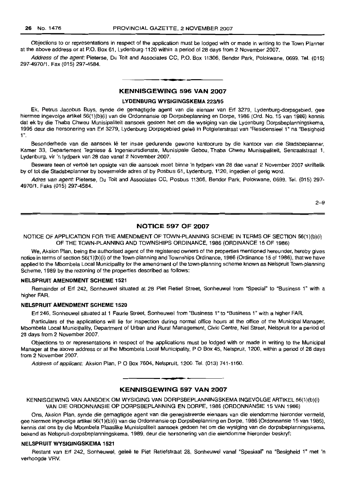Objections to or representations in respect of the application must be lodged with or made in writing to the Town Planner at the above address or at P.O. Box 61, Lydenburg.1120 within a period of 28 days from 2 November *2007.*

Address of the agent: Pieterse, Du Toit and Associates CC, P.O. Box 11306, Bendor Park, Polokwane, 0699. Tel. (015) 297-4970/1. Fax (015) 297-4584.

#### KENNISGEWING 596 VAN 2007

#### LYDENBURG WYSIGINGSKEMA 223/95

Ek, Petrus Jacobus Buys, synde die gemagtigde agent van die eienaar van Erf 3279, Lydenburg-dorpsgebied, gee hiermee ingevolge artikel 56(1)(b)(i) van die Ordonnansie op Dorpsbeplanning en Dorpe, 1986 (Ord. No. 15 van 1986) kennis dat ek by die Thaba Chweu Munisipaliteit aansoek gedoen het om die wysiging van die Lydenburg Dorpsbeplanningskema, 1995 deur die hersonering van Erf 3279, Lydenburg Dorpsgebied gelee in Potgielerslraal van "Residensieel 1" na "Besigheid 1".

Besonderhede van die aansoek lê ter insae gedurende gewone kantoorure by die kantoor van die Stadsbeplanner, Kamer 33, Departemenl Tegniese & Ingenieursdienste, Munisipale Gebou, Thaba Chweu Munisipaliteit, Sentraalstraal 1, Lydenburg, vir 'n tydperk van 28 dae vanaf 2 November 2007.

Besware teen of vertoe ten opsigte van die aansoek moet binne 'n tydperk van 28 dae vanaf 2 November 2007 skriftelik by of tot die Stadsbeplanner by bovermelde adres of by Posbus 61, Lydenburg, 1120, ingedien of gerig word.

Adres van agent: Pieterse, Du Toit and Associates CC, Posbus 11306, Bendor Park, Polokwane, 0699. Tel. (015) 297- 4970/1. Faks (015) 297-4584.

2-9

#### NOTICE 597 OF 2007

NOTICE OF APPLICATION FOR THE AMENDMENT OF TOWN-PLANNING SCHEME IN TERMS OF SECTION 56(1)(b)(i) OF THE TOWN-PLANNING AND TOWNSHIPS ORDINANCE, 1986 (ORDINANCE 15 OF 1986)

We, Aksion Plan, being the authorised agent of the registered owners of the properties mentioned hereunder, hereby gives notice in terms of section 56(1)(b)(i) of the Town-planning and Townships Ordinance, 1986 (Ordinance 15 of 1986), that we have applied to the Mbombela Local Municipality for the amendment of the town-planning scheme known as Nelspruit Town-planning Scheme, 1989 by the rezoning of the properties described as follows:

#### NELSPRUIT AMENDMENT SCHEME 1521

Remainder of Erf 242, Sonheuwel situated at 28 Piet Retief Street, Sonheuwel from "Special" to "Business 1" with a higher FAR.

#### NELSPRUIT AMENDMENT SCHEME 1520

Erf 246, Sonheuwel situated at 1 Faurie Street, Sonheuwel from "Business 1" to "Business 1" with a higher FAR.

Particulars of the applications will lie for inspection during normal office hours at the office of the Municipal Manager, Mbombela Local Municipality, Department of Urban and Rural Management, Civic Centre, Nel Street, Nelspruit for a period of 28 days from 2 November 2007.

Objections to or representations in respect of the applications must be lodged with or made in writing to the Municipal Manager at the above address or at the Mbombela Local Municipality, POBox 45, Nelspruit, 1200, within a period of 28 days from 2 November 2007.

Address of applicant: Aksion Plan, P O Box 7604, Nelspruit, 1200. Tel. (013) 741-1160.

#### KENNISGEWING 597 VAN 2007

KENNISGEWING VAN AANSOEK OM WYSIGING VAN DORPSBEPLANNINGSKEMA INGEVOLGE ARTIKEL 56(1 )(b)(i) VAN DIE ORDONNANSIE OP DORPSBEPLANNING EN DORPE, 1986 (ORDONNANSIE 15 VAN 1986)

Ons, Aksion Plan, synde die gemagtigde agent van die geregistreerde eienaars van die eiendomme hieronder vermeld, gee hiermee ingevolge artikel 56(1)(b)(i) van die Ordonnansie op Dorpsbeplanning en Dorpe, 1986 (Ordonnansie 15 van 1986), kennis dat ons by die Mbombela Plaaslike Munisipaliteit aansoek gedoen het om die wysiging van die dorpsbeplanningskema, bekend as Nelspruit-dorpsbeplanningskema, 1989, deur die hersonering van die eiendomme hieronder beskryf:

#### NELSPRUIT WYSIGINGSKEMA 1521

Restant van Ert 242, Sonheuwel, geleë te Piet Retiefstraat 28, Sonheuwel vanaf "Spesiaal" na "Besigheid 1" met 'n verhoogde VRV.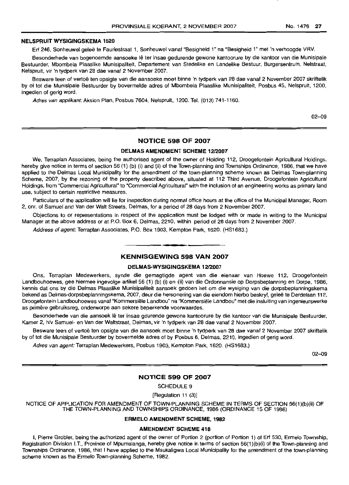#### NELSPRUIT WYSIGINGSKEMA 1520

Erf 246, Sonheuwel gelee te Fauriestraat 1, Sonheuwel vanaf "Besigheid 1" na "Besigheid 1" met'n verhoogde VRV.

Besonderhede van bogenoemde aansoeke Iê ter insae gedurende gewone kantoorure by die kantoor van die Munisipale Bestuurder, Mbombela Plaaslike Munisipaliteit, Departement van Stedelike en Landelike Bestuur, Burgersentrum, Nelstraat, Nelspruit, vir 'n tydperk van 28 dae vanaf 2 November 2007.

Besware teen of vertoe ten opsigte van die aansoeke moet binne 'n tydperk van 28 dae vanaf 2 November 2007 skriftelik by of tot die Munisipale Bestuurder by bovermelde adres of Mbombela Plaaslike Munisipaliteit, Posbus 45, Nelspruit, 1200, ingedien of gerig word.

Adres van applikant: Aksion Plan, Posbus 7604, Nelspruit, 1200. Tel. (013) 741-1160.

02-09

#### NOTICE 598 OF 2007

#### DELMAS AMENDMENT SCHEME 12/2007

We, Terraplan Associates, being the authorised agent of the owner of Holding 112, Droogefontein Agricultural Holdings, hereby give notice in terms of section 56 (1) (b) (i) and (ii) of the Town-planning and Townships Ordinance, 1986, that we have applied to the Delmas Local Municipality for the amendment of the town-planning scheme known as Delmas Town-planning Scheme, 2007, by the rezoning of the property described above, situated at 112 Third Avenue, Droogefontein Agricultural Holdings, from "Commercial Agricultural" to "Commercial Agricultural" with the inclusion of an engineering works as primary land use, subject to certain restrictive measures.

Particulars of the application will lie for inspection during normal office hours at the office of the Municipal Manager, Room 2, em. of Samuel and Van der Walt Streets, Delmas, for a period of 28 days from 2 November 2007.

Objections to or representations in respect of the application must be lodged with or made in writing to the Municipal Manager at the above address or at P.O. Box 6, Delmas, 2210, within period of 28 days from 2 November 2007.

Address of agent: Terraplan Associates, P.O. Box 1903, Kempton Park, 1620. (HS1683.)

### **•** KENNISGEWING 598 VAN 2007

#### DELMAS-WYSIGINGSKEMA 12/2007

Ons, Terraplan Medewerkers, synde die gemagtigde agent van die eienaar van Hoewe 112, Droogefontein Landbouhoewes, gee hiermee ingevolge artikel 56 (1) (b) (i) en (ii) van die Ordonnansie op Dorpsbeplanning en Dorpe, 1986, kennis dat ons by die Delmas Plaaslike Munisipaliteit aansoek gedoen het om die wysiging van die dorpsbeplanningskema bekend as Delmas-dorpsbeplanningskema, 2007, deur die hersonering van die eiendom hierbo beskryf, gelee te Derdelaan 112, Droogefontein Landbouhoewes vanaf "Kommersiële Landbou" na "Kommersiële Landbou" met die insluiting van ingenieurswerke as primêre gebruiksreg, onderworpe aan sekere beperkende voorwaardes.

Besonderhede van die aansoek lê ter insae gdurende gewone kantoorure by die kantoor van die Munisipale Bestuurder, Kamer 2, h/v Samuel- en Van der Waltstraat, Delmas, vir 'n tydperk van 28 dae vanaf 2 November 2007.

Besware teen of vertoë ten opsigte van die aansoek moet binne 'n tydperk van 28 dae vanaf 2 November 2007 skriftelik by of tot die Munisipale Bestuurder by bovermelde adres of by Posbus 6, Delmas, 2210, ingedien of gerig word.

Adres van agent: Terraplan Medewerkers, Posbus 1903, Kempton Park, 1620. (HS1683.)

02-09

#### NOTICE 599 OF 2007

SCHEDULE 9

[Regulation 11 (3)]

NOTICE OF APPLICATION FOR AMENDMENT OF TOWN-PLANNING SCHEME IN TERMS OF SECTION 56(1)(b)(ii) OF THE TOWN-PLANNING AND TOWNSHIPS ORDINANCE, 1986 (ORDINANCE 15 OF 1986)

#### ERMELO AMENDMENT SCHEME, 1982

#### AMENDMENT SCHEME 418

I, Pierre Grobler, being the authorized agent of the owner of Portion 2 (portion of Portion 1) of Erf 530, Ermelo Township, Registration Division I.T., Province of Mpumalanga, hereby give notice in terms of section 56(1)(b)(i) of the Town-planning and Townships Ordinance, 1986, that I have applied to the Msukaligwa Local Municipality for the amendment of the town-planning scheme known as the Ermelo Town-planning Scheme, 1982.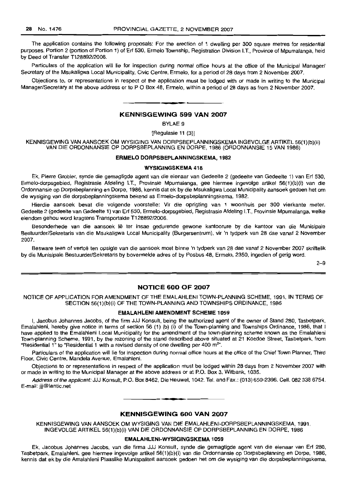The application contains the following proposals: For the erection of 1 dwelling per 300 square metres for residential purposes. Portion 2 (portion of Portion 1) of Erf 530, Ermelo Township, Registration Division I.T., Province of Mpumalanga, held by Deed of Transfer *T12889212006.*

Particulars of the application will lie for inspection during normal office hours at the office of the Municipal Manager/ Secretary of the Msukaligwa Local Municipality, Civic Centre, Ermelo, for a period of 28 days from 2 November 2007.

Objections to, or representations in respect of the application must be lodged with or made in writing to the Municipal Manager/Secretary at the above address or to P O Box 48, Ermelo, within a period of 28 days as from 2 November 2007.

#### **-** KENNISGEWING <sup>599</sup> VAN <sup>2007</sup>

BYLAE 9

[Regulasie 11 (3)]

KENNISGEWING VAN AANSOEK OM WYSIGING VAN DORPSBEPLANNINGSKEMA INGEVOLGE ARTIKEL 56(1)(b)(ii) VAN DIE ORDONNANSIE OP DORPSBEPLANNING EN DORPE, 1986 (ORDONNANSIE 15 VAN 1986)

#### ERMELO DORPSBEPLANNINGSKEMA, 1982

#### WYSIGINGSKEMA 418

Ek, Pierre Grobler, synde die gemagtigde agent van die eienaar van Gedeelte 2 (gedeelte van Gedeelte 1) van Erf 530, Ermelo-dorpsgebied, Registrasie Afdeling I.T., Provinsie Mpumalanga, gee hiermee ingevolge artikel 56(1)(b)(i) van die Ordonnansie op Dorpsbeplanning en Darpe, 1986, kennis dat ek by die Msukaligwa Local Municipality aansoek gedoen het om die wysiging van die dorpsbeplanningskema bekend as Ermelo-dorpsbeplanningskema, 1982.

Hierdie aansoek bevat die volgende voorstelle: Vir die oprigting van 1 woonhuis per 300 vierkante meter. Gedeelte 2 (gedeelte van Gedeelte 1) van Erf 530, Ermelo-dorpsgebied, Registrasie Afdeling I.T., Provinsie Mpumalanga, welke eiendom gehou word kragtens Transportakte T128892/2006.

Besonderhede van die aansoek Ie ter insae gedurende gewone kantoorure by die kantoor van die Munisipaie BestuurderlSekretaris van die Msukaligwa Local Municipality (Burgersentrum), vir 'n tydperk van 28 dae vanaf 2 November 2007.

Besware teen of vertoë ten opsigte van die aansoek moet binne 'n tydperk van 28 dae vanaf 2 November 2007 skriftelik by die Munisipale Bestuurder/Sekretaris by bovermelde adres of by Posbus 48, Ermelo, 2350, ingedien of gerig word.

2-9

#### NOTICE 600 OF 2007

NOTICE OF APPLICATION FOR AMENDMENT OF THE EMALAHLENI TOWN-PLANNING SCHEME, 1991, IN TERMS OF SECTION 56(1)(b)(i) OF THE TOWN-PLANNING AND TOWNSHIPS ORDINANCE, 1986

#### EMALAHLENI AMENDMENT SCHEME 1059

I, Jacobus Johannes Jacobs, of the firm JJJ Konsult, being the authorized agent of the owner of Stand 280, Tasbetpark, Emalahleni, hereby give notice in terms of section 56 (1) (b) (i) of the Town-planning and Townships Ordinance, 1986, that I have applied to the Emalahleni Local Municipality for the amendment of the town-planning scheme known as the Emalahleni Town-planning Scheme, 1991, by the rezoning of the stand described above situated at 21 Koedoe Street, Tasbetpark, from "Residential 1" to "Residential 1 with a revised density of one dwelling per 400  $m<sup>2</sup>$ ".

Particulars of the application will lie for inspection during normal office hours at the office of the Chief Town Planner, Third Floor, Civic Centre, Mandela Avenue, Emalahleni.

Objections to or representations in respect of the application must be lodged within 28 days from 2 November 2007 with or made in writing to the Municipal Manager at the above address or at P.O. Box 3, Witbank, 1035.

Address of the applicant: JJJ Konsult, P.O. Box 8462, Die Heuwel, 1042. Tel. and Fax.: (013) 650-2396. Cell. 082 338 6754. E-mail: jjj@lantic.net

#### KENNISGEWING 600 VAN 2007

KENNISGEWING VAN AANSOEK OM WYSIGING VAN DIE EMALAHLENI-DORPSBEPLANNINGSKEMA, 1991, INGEVOLGE ARTIKEL 56(1)(b)(i) VAN DIE ORDONNANSIE OP DORPSBEPLANNING EN DORPE, 1986

#### EMALAHLENI-WYSIGINGSKEMA 1059

Ek, Jacobus Johannes Jacobs, van die firma JJJ Konsult, synde die gemagtigde agent van die eienaar van Erf 280, Tasbetpark, Emalahleni, gee hiermee ingevolge artikel 56(1)(b)(i) van die Ordonnansie op Dorpsbeplanning en Dorpe, 1986, kennis dat ek by die Amalahleni Piaaslike Munispaliteit aansoek gedoen het om die wysiging van die dorpsbeplanningskema,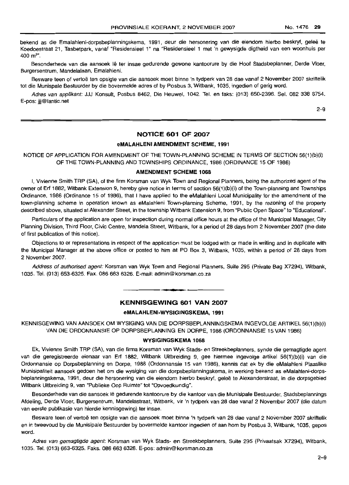bekend as die Emalahleni-dorpsbeplanningskema, 1991, deur die hersonering van die eiendom hierbo beskryf, geleë te Koedoestraat 21, Tasbetpark, vanaf "Residensieel 1" na "Residensieel 1 met 'n gewysigde digtheid van een woonhuis per 400 m<sup>2</sup>".

Besonderhede van die aansoek Iê ter insae gedurende gewone kantoorure by die Hoof Stadsbeplanner, Derde Vloer, Burgersentrum, Mandeialaan, Emalahleni.

Besware teen of vertoe ten opsigte van die aansoek moet binne 'n tydperk van 28 dae vanaf 2 November 2007 skriftelik tot die Munispale Bestuurder by die bovermelde adres of by Posbus 3, Witbank, 1035, ingedien of gerig word.

Adres van applikant: JJJ Konsult, Posbus 8462, Die Heuwel, 1042. Tel. en taks: (013) 650-2396. Sel. 082 338 6754. E-pos: iii@lantic.net

2-9

#### **NOTICE 601 OF 2007**

#### **eMALAHLENI AMENDMENT** SCHEME, **1991**

NOTICE OF APPLICATION FOR AMENDMENT OF THE TOWN-PLANNING SCHEME IN TERMS OF SECTION 56(1)(b)(i) OF THE TOWN-PLANNING AND TOWNSHIPS ORDINANCE, 1986 (ORDINANCE 15 OF 1986)

#### **AMENDMENT SCHEME 1068**

I, Vivienne Smith TRP (SA), of the firm Korsman van Wyk Town and Regional Planners, being the authorized agent of the owner of Erf 1882, Witbank Extension 9, hereby give notice in terms of section 56(1)(b)(i) of the Town-planning and Townships Ordinance, 1986 (Ordinance 15 of 1986), that I have applied to the eMalahleni Local Municipality for the amendment of the town-planning scheme in operation known as eMalahleni Town-planning Scheme, 1991, by the rezoning of the property described above, situated at Alexander Street, in the township Witbank Extension 9, from "Public Open Space" to "Educational".

Particulars of the application are open for inspection during normal office hours at the office of the Municipal Manager, City Planning Division, Third Floor, Civic Centre, Mandela Street, Witbank, for a period of 28 days from 2 November 2007 (the date of first publication of this notice).

Objections to or representations in respect of the application must be lodged with or made in writing and in duplicate with the Municipal Manager at the above office or posted to him at PO Box 3, Witbank, 1035, within a period of 28 days from 2 November 2007.

Address of authorised agent: Korsman van Wyk Town and Regional Planners, Suite 295 (Private Bag X7294), Witbank, 1035. Tel. (013) 653-6325. Fax. 086 663 6326. E-mail: admin@korsman.co.za

#### **KENNISGEWING 601 VAN 2007**

#### **eMALAHLENI-WYSIGINGSKEMA,** 1991

KENNISGEWING VAN AANSOEK OM WYSIGING VAN DIE DORPSBEPLANNINGSKEMA INGEVOLGE ARTIKEL 56(1)(b)(i) VAN DIE ORDONNANSIE OP DORPSBEPLANNING EN DORPE, 1986 (ORDONNANSIE 15 VAN 1986)

#### **WYSIGINGSKEMA 1068**

Ek, Vivienne Smith TRP (SA), van die firma Korsman van Wyk Stads- en Streekbeplanners, synde die gemagtigde agent van die geregistreerde eienaar van Erf 1882, Witbank Uitbreiding 9, gee hiermee ingevolge artikel 56(1)(b)(i) van die Ordonnansie op Dorpsbeplanning en Dorpe, 1986 (Ordonnansie 15 van 1986), kennis dat ek by die eMalahleni Plaaslike Munisipaliteit aansoek gedoen het om die wysiging van die dorpsbeplanningskema, in werking bekend as eMalahleni-dorpsbeplanningskema, 1991, deur die hersonering van die eiendom hierbo beskryf, gelee te Alexanderstraat, in die dorpsgebied Witbank Uitbreiding 9, van "Publieke Oop Ruimte" tot "Opvoedkundig".

Besonderhede van die aansoek Ie gedurende kantoorure by die kantoor van die Munisipale Bestuurder, Stadsbeplannings Afdeling, Derde Vloer, Burgersentrum, Mandelastraat, Witbank, vir 'n tydperk van 28 dae vanaf 2 November 2007 (die datum van eerste publikasie van hierdie kennisgewing) ter insae.

Besware teen of vertoë ten opsigte van die aansoek moet binne 'n tydperk van 28 dae vanaf 2 November 2007 skriftelik en in tweevoud by die Munisipale Bestuurder by bovermelde kantoor ingedien of aan hom by Posbus 3, Witbank, 1035, gepos word.

Adres van gemagtigde agent: Korsman van Wyk Stads- en Streekbeplanners, Suite 295 (Privaatsak X7294), Witbank, 1035. Tel. (013) 653-6325. Faks. 086 663 6326. E-pos: admin@korsman.co,za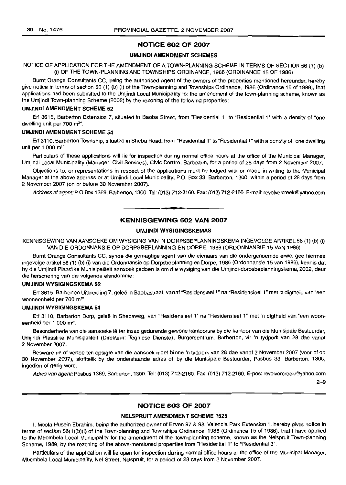#### **NOTICE 602 OF 2007**

#### **UMJINDI AMENDMENT SCHEMES**

#### NOTICE OF APPLICATION FOR THE AMENDMENT OF A TOWN-PLANNING SCHEME IN TERMS OF SECTION 56 (1) (b) (i) OF THE TOWN-PLANNING AND TOWNSHIPS ORDINANCE, 1986 (ORDINANCE 15 OF 1986)

Burnt Orange Consultants CC, being the authorised agent of the owners of the properties mentioned hereunder, hereby give notice in terms of section 56 (1) (b) (I) of the Town-planning and Townships Ordinance, 1986 (Ordinance 15 of 1986), that applications had been submitted to the Umjindi Local Municipality for the amendment of the town-planning scheme, known as the Umjindi Town-planning Scheme (2002) by the rezoning of the following properties:

#### **UMJINDf AMENDMENT SCHEME** 52

Erf 3615, Barberton Extension 7, situated in Baoba Street, from "Residential 1" to "Residential 1" with a density of "one dwelling unit per 700 m<sup>2</sup>".

#### **UMJINDI AMENDMENT SCHEME 54**

Erf 3110, Barberton Township, situated in Sheba Road, from "Residential 1" to "Residential 1" with a density of "one dwelling unit per 1 000 m<sup>2"</sup>.

Particulars of these applications will lie for inspection during normal office hours at the office of the Municipal Manager, Umjindi Local Municipality (Manager: Civil Services), Civic Centre, Barberton, for a period of 28 days from 2 November 2007.

Objections to, or representations in respect of the applications must be lodged with or made in writing to the Municipal Manager at the above address or at Umjindi Local Municipality, P.O. Box 33, Barberton, 1300, within a period of 28 days from 2 November 2007 (on or before 30 November 2007).

Address of agent: PO Box 1369, Barberton, 1300. Tel: (013) 712-2160. Fax: (013) 712-2160. E-mail: revolvercreek@yahoo.com

### **• KENNISGEWING 602 VAN 2007**

#### **UMJINDI WYSIGINGSKEMAS**

KENNfSGEWING VAN AANSOEKE OM WYSIGING VAN 'N DORPSBEPLANNINGSKEMA INGEVOLGE ARTIKEL 56 (1) (b) (i) VAN DIE ORDONNANSIE OP DORPSBEPLANNING EN DORPE, 1986 (ORDONNANSIE 15 VAN 1986)

Burnt Orange Consultants CC, synde die gemagtige agent van die eienaars van die ondergenoemde erwe, gee hiermee ingevolge artikel 56 (1) (b) (I) van die Ordonnansie op Dorpsbeplanning en Dorpe, 1986 (Ordonnansie 15 van 1986), kennis dat by die Umjindi Plaaslike Munisipaliteit aansoek gedoen is om die wysiging van die Umjindi-dorpsbeplanningskema, 2002, deur die hersonering van die volgende eiendomme:

#### **UMJINDI WYSIGINGSKEMA** 52

Erf 3615, Barberton Uitbreiding 7, geleë in Baobastraat, vanaf "Residensieel 1" na "Residensieel 1" met 'n digtheid van "een wooneenheid per 700 m<sup>2"</sup>.

#### **UMJINDI WYSIGINGSKEMA 54**

Erf 3110, Barberton Dorp, geleë in Shebaweg, van "ResidensieeI 1" na "ResidensieeI 1" met 'n digtheid van "een wooneenheid per 1 000 m<sup>2"</sup>.

Besonderhede van die aansoeke Iê ter insae gedurende gewone kantoorure by die kantoor van die Munisipale Bestuurder, Umjindi Plaaslike Munisipaliteit (Direkteur: Tegniese Dienste), Burgersentrum, Barberton, vir 'n tydperk van 28 dae vanaf 2 November 2007.

Besware en of vertoë ten opsigte van die aansoek moet binne 'n tydperk van 28 dae vanaf 2 November 2007 (voor of op 30 November 2007), skriftelik by die onderstaande adres of by die Munisipale Bestuurder, Posbus 33, Barberton, 1300, ingedien of gerig word.

Adres van agent: Posbus 1369, Barberton, 1300. Tel: (013) 712-2160. Fax: (013) 712-2160. E-pos: revoivercreek@yahoo.com

2-9

#### **NOTICE 603 OF 2007**

#### **NELSPRUIT AMENDMENT SCHEME** 1525

I, Moola Husein Ebrahim, being the authorized owner of Erven 97 & 98, Valencia Park Extension 1, hereby gives nolice in terms of section 56(1)(b)(i) of the Town-planning and Townships Ordinance, 1986 (Ordinance 15 of 1986), that I have applied to the Mbombela Local Municipality for the amendment of the town-planning scheme, known as the Nelspruit Town-planning Scheme, 1989, by the rezoning of the above-mentioned properties from "Residential 1" to "Residential 3".

Particulars of the application will lie open for inspection during normal office hours at the office of the Municipal Manager, Mbombela Local Municipality, Nel Street, Nelspruit, for a period of 28 days from 2 November 2007.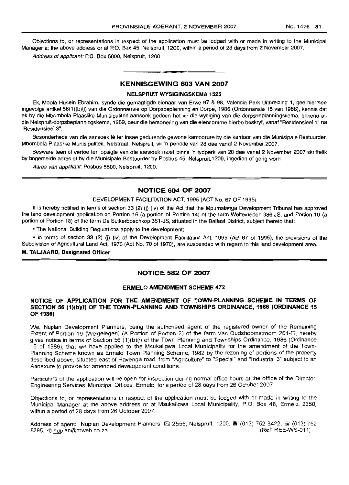Objections to, or representations in respect of the application must be lodged with or made in writing to the Municipal Manager at the above address or at P.O. Box 45, Nelspruit, 1200, within a period of 28 days from 2 November 2007.

Address of applicant: P.O. Box 5800, Nelspruit, 1200.

### **• KENNISGEWING 603 VAN 2007**

#### **NELSPRUIT WYSIGINGSKEMA 1525**

Ek, Moola Husein Ebrahim, synde die gemagtigde eienaar van Erwe 97 & 98, Valencia Park Uitbreiding 1, gee hiermee ingevolge artlkeI56(1)(b)(i) van die Ordonnansie op Dorpsbeplanning en Dorpe, 1986 (Ordonnansie 15 van 1986), kennis dat ek by die Mbombela Plaaslike Munisipaliteit aansoek gedoen het vir die wysiging van die dorpsbeplanningskema, bekend as die Nelspruit-dorpsbeplanningskema, 1989, deur die hersonering van die eiendomme hierbo beskryf, vanaf "Residensieel 1" na "ResidensieeI3".

Besonderhede van die aansoek lê ter insae gedurende gewone kantoorure by die kantoor van die Munisipale Bestuurder, Mbombela Plaaslike Munisipaliteit, Nelstraat. Nelspruit, vir 'n periode van 28 dae vanaf 2 November 2007.

Besware teen of vertoe ten opsigte van die aansoek moet binne 'n tydperk van 28 dae vanaf 2 November 2007 skriftelik by bogemelde adres of by die Munisipale Bestuurder by Posbus 45, Nelspruit,1200, ingedien of gerig word.

Adres van applikant: Posbus 5800, Nelspruit, 1200.

#### **NOTICE 604 OF 2007**

#### DEVELOPMENT FACILITATION ACT, 1995 (ACT No. 67 OF 1995)

It is hereby notified in terms of section 33 (2) (j) (iv) of the Act that the Mpumalanga Development Tribunal has approved the land development application on Portion 16 (a portion of Portion 14) of the farm Weltevreden 386-JS, and Portion 19 (a portion of Portion 18) of the farm De Suikerboschkop 361-JS, situated in the Belfast District, subject thereto that:

• The National Building Regulations apply to the development;

• in terms of section 33 (2) (j) (iv) of the Development Facilitation Act, 1995 (Act 67 of 1995), the provisions of the Subdivision of Agricultural Land Act, 1970 (Act No. 70 of 1970), are suspended with regard to this land development area.

#### M. **TALJAARD, Designated Officer**

#### **NOTICE 582 OF 2007**

#### **ERMELO AMENDMENT SCHEME 472**

#### **NOTICE OF APPLICATION FOR THE AMENDMENT OF TOWN-PLANNING SCHEME IN TERMS** OF **SECTION 56 (1)(b)(i) OF THE TOWN-PLANNING AND TOWNSHIPS ORDINANCE, 1986 (ORDINANCE 15 OF 1986)**

We, Nuplan Development Planners, being the authorised agent of the registered owner of the Remaining Extent of Portion 19 (Welgelegen) (A Portion of Portion 2) of the farm Van Oudshoornstroom 261-IT, hereby gives notice in terms of Section 56 (1)(b)(i) of the Town Planning and Townships Ordinance, 1986 (Ordinance 15 of 1986), that we have applied to the Msukaligwa Local Municipality for the amendment of the Town-Planning Scheme known as Ermelo Town Planning Scheme, 1982 by the rezoning of portions of the property described above, situated east of Havenga road, from "Agriculture" to "Special" and "Industrial 3" subject to an Annexure to provide for amended development conditions.

Particulars of the application will lie open for inspection during normal office hours at the office of the Director: Engineering Services, Municipal Offices, Ermelo, for a period of 28 days from 26 October 2007.

Objections to, or representations in respect of the application must be lodged with or made in writing to the Municipal Manager at the above address or at Msukaligwa Local Municipality, P.O. Box 48, Ermelo, 2350, within a period of 28 days from 26 October 2007.

Address of agent: Nuplan Development Planners,  $\boxtimes$  2555, Nelspruit, 1200, a (013) 752 3422,  $\text{I}$  (013) 752 5795,  $\Theta$  nuplan@mweb.co.za. (Ref: REE-WS-011)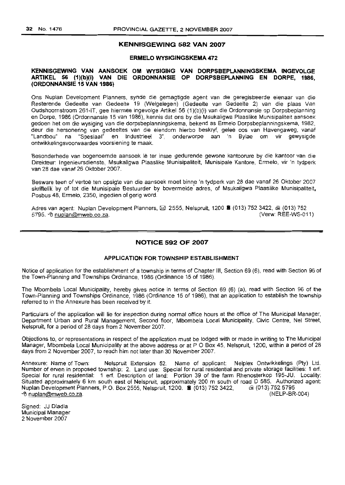#### **KENNISGEWING 582 VAN 2007**

#### **ERMELO WYSIGINGSKEMA 472**

#### **KENNISGEWING VAN AANSOEK OM WYSIGING VAN DORPSBEPLANNINGSKEMA INGEVOLGE ARTIKEL 56 (1)(b)(i) VAN DIE ORDONNANSIE OP DORPSBEPLANNING EN DORPE, 1986, (ORDONNANSIE 15 VAN 1986)**

Ons Nuplan Development Planners, synde die gemagtigde agent van die geregistreerde eienaar van die Resterende Gedeelte van Gedeelte 19 (Welgelegen) (Gedeelte van Gedeelte 2) van die plaas Van Oudshoornstroom 261-IT, gee hiermee ingevolge Artikel 56 (1)(b)(i) van die Ordonnansie op Dorpsbeplanning en Dorpe, 1986 (Ordonnansie 15 van 1986), kennis dat ons by die Msukaligwa Plaaslike Munisipaliteit aansoek gedoen het om die wysiging van die dorpsbeplanningskema, bekend as Ermelo Dorpsbeplanningskema, 1982, deur die hersonering van gedeeltes van die eiendom hierbo beskryf, gelee 005 van Havengaweg, vanaf "Landbou" na "Spesiaal" en Industrieel 3", onderworpe aan 'n Bylae om vir gewysigde ontwikkelingsvoorwaardes voorsiening te maak.

Besonderhede van bogenoemde aansoek lê ter insae gedurende gewone kantoorure by die kantoor van die Direkteur: Ingenieursdienste, Msukaligwa Plaaslike Munisipaliteit, Munisipale Kantore, Ermelo, vir 'n tydperk van 28 dae vanaf 26 Oktober 2007.

Besware teen of vertoe ten opsigte van die aansoek moet binne 'n lydperk van 28 dae vanaf 26 Oktober 2007 skriflelik by of tot die Munisipale Bestuurder by bovermelde adres, of Msukaligwa Plaaslike Munisipaliteit, Posbus 48, Ermelo, 2350, ingedien of gerig word.

Adres van agent: Nuplan Development Planners, [8J 2555, Nelspruit, 1200 II (013) 752 3422, (013) 752 5795. 他 nuplan@mweb.co.za.

#### **NOTICE 592 OF 2007**

#### **APPLICATION FOR TOWNSHIP ESTABLISHMENT**

Notice of application for the establishment of a township in terms of Chapter III, Section 69 (6), read with Section 96 of the Town-Planning and Townships Ordinance, 1986 (Ordinance 15 of 1986).

The Mbombela Local Municipality, hereby gives notice in terms of Section 69 (6) (a), read with Section 96 of the Town-Planning and Townships Ordinance, 1986 (Ordinance 15 of 1986), that an application to establish the township referred to in the Annexure has been received by it.

Particulars of the application will lie for inspection during normal office hours at the office of The Municipal Manager, Department Urban and Rural Management, Second floor, Mbombela Local Municipality, Civic Centre, Nel Street, Nelspruit, for a period of 28 days from 2 November 2007.

Objections to, or representations in respect of the application must be lodged with or made in writing to The Municipal Manager, Mbombela Local Municipality at the above address or at POBox 45, Nelspruit, 1200, within a period of 28 days from 2 November 2007, to reach him not later than 30 November 2007.

Annexure: Name of Town: Nelspruit Extension 52. Name of applicant: Nelplex Ontwikkelings (Pty) Ltd. Number of erven in proposed township: 2. Land use: Special for rural residential and private storage facilities: 1 erf. Special for rural residential: 1 erf. Description of land: Portion 39 of the farm Rhenosterkop 195-JU. Locality: Situated approximately 6 km south east of Nelspruit, approximately 200 m south of road 0 585. Authorized agent: Nuplan Development Planners, PO. Box 2555, Nelspruit, 1200.• (013) 752 3422, (013) 752 5795 "e! nuplan@mweb.co.za (NELP-BR-004)

Signed: JJ Dladla Municipal Manager 2 November 2007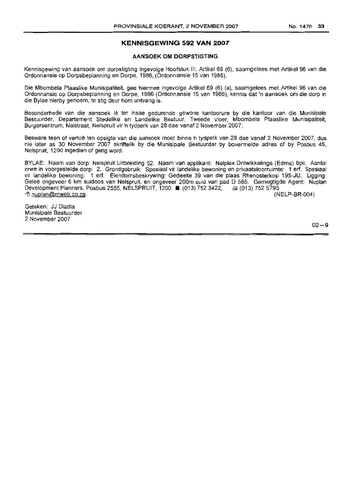#### **KENNISGEWING 592 VAN 2007**

#### **AANSOEK OM DORPSTIGTING**

Kennisgewing van aansoek om dorpstigting ingevolge Hoofstuk III, Artikel 69 (6), saamgelees met Artikel 96 van die Ordonnansie op Dorpsbeplanning en Dorpe, 1986, (Ordonnansie 15 van 1986).

Die Mbombela Plaaslike Munisipaliteit, gee hiermee ingevolge Artikel 69 (6) (a), saamgelees met Artikel 96 van die Ordonnansie op Dorpsbeplanning en Dorpe, 1986 (Ordonnansie 15 van 1986), kennis dat 'n aansoek am die dorp in die Bylae hierby genoem, te stig deur hom ontvang is.

Besonderhede van die aansoek lê ter insae gedurende gewone kantoorure by die kantoor van die Munisipale Bestuurder, Departement 8tedelike en Landelike Bestuur, Tweede vloer, Mbombela Plaaslike Munisipaliteit, Burgersentrum, Nelstraat, Nelspruit vir 'n tydperk van 28 dae vanaf 2 November 2007.

Besware teen of vertoë ten opsigte van die aansoek moet binne 'n tydperk van 28 dae vanaf 2 November 2007, dus nie later as 30 November 2007 skriftelik by die Munisipale Bestuurder by bovermelde adres of by Posbus 45, Nelspruit, 1200 ingedien of gerig word.

BYLAE: Naam van dorp: Nelspruit Uitbreiding 52. Naam van applikant: Nelplex Ontwikkelings (Edms) Bpk. Aantal erwe in voorgestelde dorp: 2. Grondgebruik: Spesiaal vir landelike bewoning en privaatstoorruimte: 1 erf. Spesiaal vir landelike bewoning: 1 erf. Eiendomsbeskrywing: Gedeelte 39 van die piaas Rhenosterkop 195-JU. Ligging: Gelee ongeveer 6 km suidoos van Nelspruit, en ongeveer 200m suid van pad 0 585. Gemagtigde Agent: Nuplan Development Planners, Posbus 2555, NELSPRUIT, 1200. Ii (013) 752 3422, ,;;j (013) <sup>7525795</sup>  $-$ e nuplan@mweb.co.za.

Geteken: JJ Dladla Munisipale Bestuurder 2 November 2007

 $02 - 9$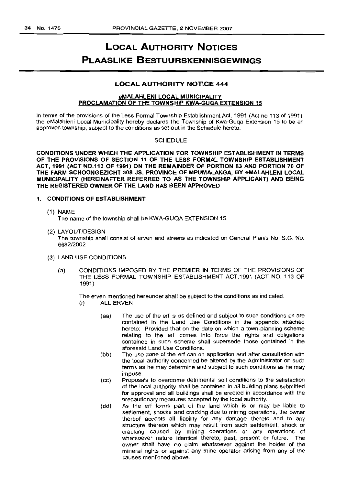## **LOCAL AUTHORITY NOTICES PLAASLIKE BESTUURSKENNISGEWINGS**

#### **LOCAL AUTHORITY NOTICE 444**

#### **eMALAHLENI LOCAL MUNICIPALITY PROCLAMATION OF THE TOWNSHIP KWA-GUQA EXTENSION 15**

In terms of the provisions of the Less Formal Township Establishment Act, 1991 (Act no 113 of 1991), the eMalahleni Local Municipality hereby declares the Township of Kwa-Guqa Extension 15 to be an approved township, subject to the conditions as set out in the Schedule hereto.

#### **SCHEDULE**

**CONDITIONS UNDER WHICH THE APPLICATION FOR TOWNSHIP ESTABLISHMENT IN TERMS OF THE PROVISIONS OF SECTION 11 OF THE LESS FORMAL TOWNSHIP ESTABLISHMENT ACT, 1991 (ACT** NO.113OF **1991) ON THE REMAINDER OF PORTION 83 AND PORTION 70 OF THE FARM SCHOONGEZICHT 308 JS, PROVINCE OF MPUMALANGA, BY eMALAHLENI LOCAL MUNICIPALITY (HEREINAFTER REFERRED TO AS THE TOWNSHIP APPLICANT) AND BEING THE REGISTERED OWNER OF THE LAND HAS BEEN APPROVED**

#### 1. **CONDITIONS OF ESTABLISHMENT**

(1) NAME

The name of the township shall be KWA-GUQA EXTENSION 15.

(2) LAYOUT/DESIGN

The township shall consist of erven and streets as indicated on General Plan/s No. S.G. No. 6682/2002

- (3) LAND USE CONDITIONS
	- (a) CONDITIONS IMPOSED BY THE PREMIER **IN** TERMS OF THE PROVISIONS OF THE LESS FORMAL TOWNSHIP ESTABLISHMENT ACT,1991 (ACT NO. 113 OF 1991 )

The erven mentioned hereunder shall be subject to the conditions as indicated. (i) ALL ERVEN

- (aa) The use of the erf is as defined and subject to such conditions as are contained in the Land Use Conditions in the appendix attached hereto: Provided that on the date on which a town-planning scheme relating to the ert comes into force the rights and obligations contained in such scheme shall supersede those contained in the aforesaid Land Use Conditions.
- (bb) The use zone of the erf can on application and after consultation with the local authority concerned be altered by the Administrator on such terms as he may determine and subject to such conditions as he may impose.
- (cc) Proposals to overcome detrimental soil conditions to the satisfaction of the local authority shall be contained in all building plans submitted for approval and all buildings shall be erected in accordance with the precautionary measures accepted by the local authority.
- (dd) As the erf forms part of the land which is or may be liable to settlement, shocks and cracking due to mining operations, the owner thereof accepts all liability for any damage thereto and to any structure thereon which may result from such settlement, shock or cracking caused by mining operations or any operations of whatsoever nature identical thereto, past, present or future. The owner shall have no claim whatsoever against the holder of the mineral rights or against any mine operator arising from any of the causes mentioned above.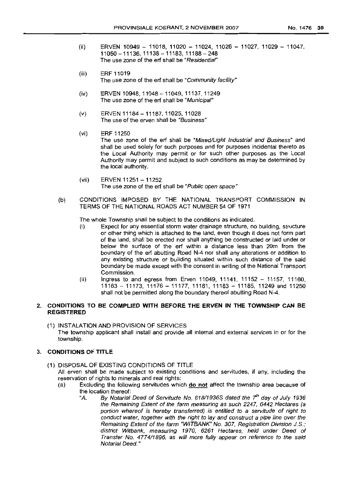- (ii) ERVEN 10949 11018, 11020 11024, 11026 11027, 11029 11047, 11050-11136,11138-11183,11188-248 The use zone of the erf shall be "Residential"
- (iii) ERF 11019 The use zone of the erf shall be "Community facility"
- (iv) ERVEN 10948, 11048 11049, 11137, 11249 The use zone of the erf shall be "Municipal"
- (v) ERVEN 11184-11187, 11025, 11028 The use of the erven shall be "Business"
- (vi) ERF 11250 The use zone of the erf shall be "Mixed/Light Industrial and Business" and shall be used solely for such purposes and for purposes incidental thereto as the Local Authority may permit or for such other purposes as the Local Authority may permit and subject to such conditions as may be determined by the local authority.
- $(vii)$  ERVEN 11251 11252 The use zone of the erf shall be "Public open space"
- (b) CONDITIONS IMPOSED BY THE NATIONAL TRANSPORT COMMISSION **IN** TERMS OF THE NATIONAL ROADS ACT NUMBER 54 OF 1971

The whole Township shall be subject to the conditions as indicated.

- (i) Expect for any essential storm water drainage structure, no building, structure or other thing which is attached to the land, even though it does not form part of the land, shall be erected nor shall anything be constructed or laid under or below the surface of the erf within a distance less than 20m from the boundary of the erf abutting Road N-4 nor shall any alterations or addition to any existing structure or building situated within such distance of the said boundary be made except with the consent in writing of the National Transport Commission.
- (ii) Ingress to and egress from Erven 11049, 11141, 11152 11157, 11160, 11163 - 11173, 11176 - 11177, 11181, 11183 - 11185, 11249 and 11250 shall not be permitted along the boundary thereof abutting Road N-4.

#### 2. **CONDITIONS TO BE COMPLIED WITH BEFORE THE ERVEN IN THE TOWNSHIP CAN BE REGISTERED**

(1) INSTALATION AND PROVISION OF SERVICES The township applicant shall install and provide all internal and external services in or for the township.

#### 3. **CONDITIONS OF TITLE**

- (1) DISPOSAL OF EXISTING CONDITIONS OF TITLE All erven shall be made subject to existing conditions and servitudes, if any, including the reservation of rights to minerals and real rights:
	- (a) Excluding the following servitudes which **do not** affect the township area because of the location thereof:<br>"A. By Notarial
		- By Notarial Deed of Servitude No. 618/1936S dated the 7<sup>th</sup> day of July 1936 the Remaining Extent of the farm measuring as such 2247, 6442 Hectares (a portion whereof is hereby transferred) is entitled to a servitude of right to conduct water, together with the right to lay and construct a pipe line over the Remaining Extent of the farm "WITBANK" No. 307, Registration Division J.S.; district Witbank, measuring 1970, 6261 Hectares, held under Deed of Transfer No. 4774/1896, as will more fully appear on reference to the said Notarial Deed."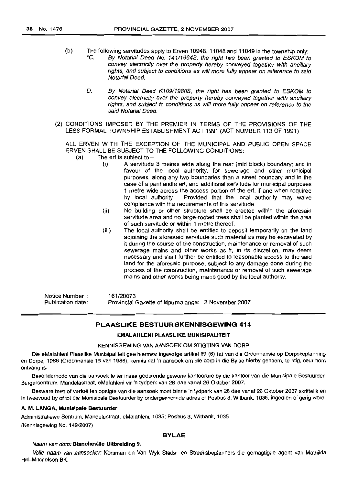- (b) The following servitudes apply to Erven 10948, 11048 and 11049 in the township only: "C. By Notarial Deed No. 14111964S, the right has been granted to ESKOM to convey electricity over the property hereby conveyed together with ancillary rights, and subject to conditions as will more fully appear on reference to said Notarial Deed.
	- D. By Notarial Deed K109/1980S, the right has been granted to ESKOM to convey electricity over the property hereby conveyed together with ancillary rights, and subject to conditions as will more fully appear on reference to the said Notarial Deed."
- (2) CONDITIONS IMPOSED BY THE PREMIER IN TERMS OF THE PROVISIONS OF THE LESS FORMAL TOWNSHIP ESTABLISHMENT ACT 1991 (ACT NUMBER 113 OF 1991)

ALL ERVEN WITH THE EXCEPTION OF THE MUNICIPAL AND PUBLIC OPEN SPACE ERVEN SHALL BE SUBJECT TO THE FOLLOWING CONDITIONS:

- $(a)$  The erf is subject to  $-$ 
	- (i) A servitude 3 metres wide along the rear (mid block) boundary; and in favour of the local authority, for sewerage and other municipal purposes, along any two boundaries than a street boundary and in the case of a panhandle erf, and additional servitude for municipal purposes 1 metre wide across the access portion of the erf, if and when required by local authority. Provided that the local authority may waive compliance with the requirements of this servitude.
	- (ii) No building or other structure shall be erected within the aforesaid servitude area and no large-rooted trees shall be planted within the area of such servitude or within 1 metre thereof.
	- (iii) The local authority shall be entitled to deposit temporarily on the land adjoining the aforesaid servitude such material as may be excavated by it during the course of the construction, maintenance or removal of such sewerage mains and other works as it, in its discretion, may deem necessary and shall further be entitled to reasonable access to the said land for the aforesaid purpose, subject to any damage done during the process of the construction, maintenance or removal of such sewerage mains and other works being made good by the local authority.

Notice Number : Publication date: 161/20073 Provincial Gazette of Mpumalanga: 2 November 2007

#### PLAASLIKE BESTUURSKENNISGEWING 414

#### EMALAHLENI PLAASLIKE MUNISIPALITEIT

#### KENNISGEWING VAN AANSOEK OM STIGTING VAN DORP

Die eMalahleni Plaaslike Munisipaliteit gee hiermee ingevolge artikel 69 (6) (a) van die Ordonnansie op Dorpsbeplanning en Dorpe, 1986 (Ordonnansie 15 van 1986), kennis dat 'n aansoek om die dorp in die Bylae hierby genoem, te stig, deur hom ontvang is.

Besonderhede van die aansoek Iê ter insae gedurende gewone kantoorure by die kantoor van die Munisipale Bestuurder, Burgersentrum, Mandelastraat, eMalahleni vir 'n Iydperk van 28 dae vanat 26 Oktober 2007.

Besware teen of vertoë ten opsigte van die aansoek moet binne 'n tydperk van 28 dae vanaf 26 Oktober 2007 skriftelik en in Iweevoud by of tot die Munisipale Bestuurder by ondergenoemde adres of Posbus3, Wilbank, 1035, ingedien of gerig word.

#### A. M. LANGA, Munisipale Bestuurder

Administratiewe Sentrum, Mandelastraal, eMalahleni, 1035; Posbus 3, Witbank, 1035 (Kennisgewing No. 149/2007)

#### BYLAE

#### Naam van dorp: Blancheville Uitbreiding 9.

Volle naam van aansoeker: Korsman en Van Wyk Stads- en Streeksbeplanners die gemagtigde agent van Mathilda Hill-Milchelson BK.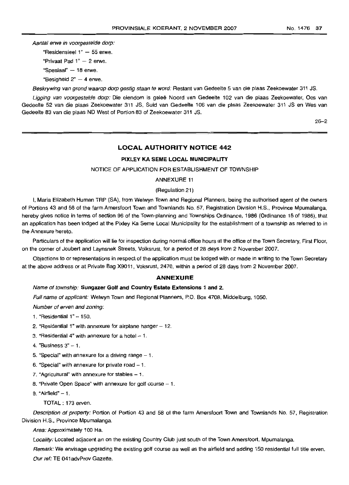Aantal erwe in voorgestelde dorp:

"Residensieel  $1" - 55$  erwe.

"Privaat Pad  $1" - 2$  erwe.

"Spesiaal" - 18 erwe.

"Besigheid  $2" - 4$  erwe.

Beskrywing van grond waarop dorp gestig staan te word: Restant van Gedeelte 5 van die plaas Zeekoewater 311 JS.

Ligging van voorgestelde dorp: Die eiendom is geleë Noord van Gedeelte 102 van die plaas Zeekoewater, Oos van Gedeelte 52 van die plaas Zeekoewater 311 JS, Suid van Gedeelte 106 van die plaas Zeekoewater 311 JS en Wes van Gedeelte 83 van die plaas ND West of Portion 83 of Zeekoewater 311 JS.

26-2

#### **LOCAL AUTHORITY NOTICE** 442

#### PIXLEY KA SEME LOCAL MUNICIPALITY

NOTICE OF APPLICATION FOR ESTABLISHMENT OF TOWNSHIP

ANNEXURE 11

(Regulation 21)

I, Maria Elizabeth Human TRP (SA), from Welwyn Town and Regional Planners, being the authorised agent of the owners of Portions 43 and 58 of the farm Amersfoort Town and Townlands No. 57, Registration Division H.S., Province Mpumalanga, hereby gives notice in terms of section 96 of the Town-planning and Townships Ordinance, 1986 (Ordinance 15 of 1986), that an application has been lodged at the Pixley Ka Seme Local Municipality for the establishment of a township as referred to in the Annexure hereto.

Particulars of the application will lie for inspection during normal office hours at the office of the Town Secretary, First Floor, on the corner of Joubert and Laynsnek Streets, Valksrust, for a period of 28 days from 2 November 2007.

Objections to or representations in respect of the application must be lodged with or made in writing to the Town Secretary at the above address or at Private Bag X9011 , Voksrust, 2470, within a period of 28 days from 2 November 2007.

#### **ANNEXURE**

#### Name of township: Sungazer Golf and Country Estate Extensions 1 and 2.

Full name of applicant: Welwyn Town and Regional Planners, P.O. Box 4708, Middelburg, 1050.

Number of erven and zoning:

- 1. "Residential 1" 150.
- 2. "Residential 1" with annexure for airplane hanger  $-12$ .
- 3. "Residential  $4$ " with annexure for a hotel  $-1$ .
- 4. "Business  $3" 1$ .
- 5. "Special" with annexure for a driving range  $-1$ .
- 6. "Special" with annexure for private road  $-1$ .
- 7. "Agricultural" with annexure for stables  $-1$ .
- 8. "Private Open Space" with annexure for golf course  $-1$ .
- $9.$  "Airfield"  $-1.$ 
	- TOTAL: 173 erven.

Description of property: Portion of Portion 43 and 58 of the farm Amersfoort Town and Townlands No. 57, Registration Division H.S., Province Mpumalanga.

Area: Approximately 100 Ha.

Locality: Located adjacent an on the existing Country Club just south of the Town Amersfoort, Mpumalanga.

Remark: We envisage upgrading the existing golf course as well as the airfield and adding 150 residential full title erven. Our ref: TE 041 advProv Gazette.